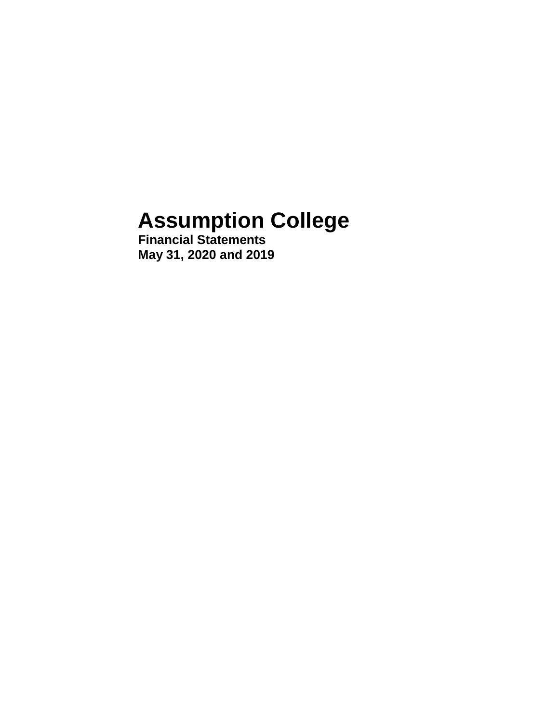# **Assumption College**

**Financial Statements May 31, 2020 and 2019**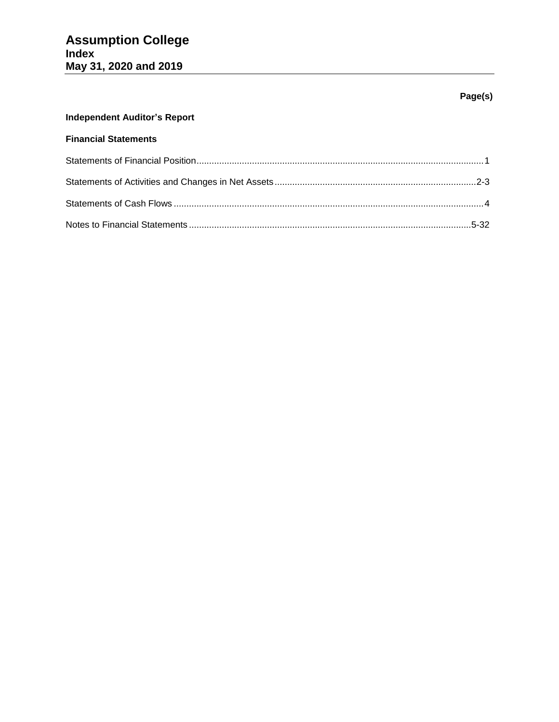# **Page(s)**

# **Independent Auditor's Report**

## **Financial Statements**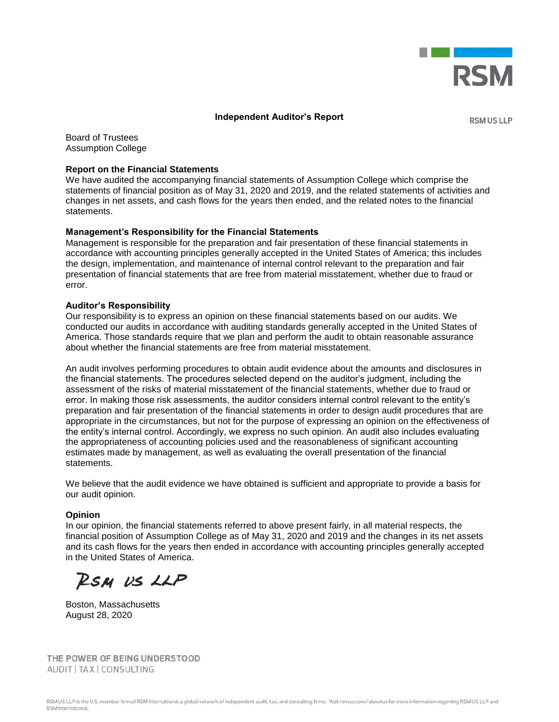

#### **Independent Auditor's Report**

**RSM US LLP** 

Board of Trustees Assumption College

#### **Report on the Financial Statements**

We have audited the accompanying financial statements of Assumption College which comprise the statements of financial position as of May 31, 2020 and 2019, and the related statements of activities and changes in net assets, and cash flows for the years then ended, and the related notes to the financial statements.

#### **Management's Responsibility for the Financial Statements**

Management is responsible for the preparation and fair presentation of these financial statements in accordance with accounting principles generally accepted in the United States of America; this includes the design, implementation, and maintenance of internal control relevant to the preparation and fair presentation of financial statements that are free from material misstatement, whether due to fraud or error.

#### **Auditor's Responsibility**

Our responsibility is to express an opinion on these financial statements based on our audits. We conducted our audits in accordance with auditing standards generally accepted in the United States of America. Those standards require that we plan and perform the audit to obtain reasonable assurance about whether the financial statements are free from material misstatement.

An audit involves performing procedures to obtain audit evidence about the amounts and disclosures in the financial statements. The procedures selected depend on the auditor's judgment, including the assessment of the risks of material misstatement of the financial statements, whether due to fraud or error. In making those risk assessments, the auditor considers internal control relevant to the entity's preparation and fair presentation of the financial statements in order to design audit procedures that are appropriate in the circumstances, but not for the purpose of expressing an opinion on the effectiveness of the entity's internal control. Accordingly, we express no such opinion. An audit also includes evaluating the appropriateness of accounting policies used and the reasonableness of significant accounting estimates made by management, as well as evaluating the overall presentation of the financial statements.

We believe that the audit evidence we have obtained is sufficient and appropriate to provide a basis for our audit opinion.

#### **Opinion**

In our opinion, the financial statements referred to above present fairly, in all material respects, the financial position of Assumption College as of May 31, 2020 and 2019 and the changes in its net assets and its cash flows for the years then ended in accordance with accounting principles generally accepted in the United States of America.

RSM US LLP

Boston, Massachusetts August 28, 2020

THE POWER OF BEING UNDERSTOOD AUDIT | TAX | CONSULTING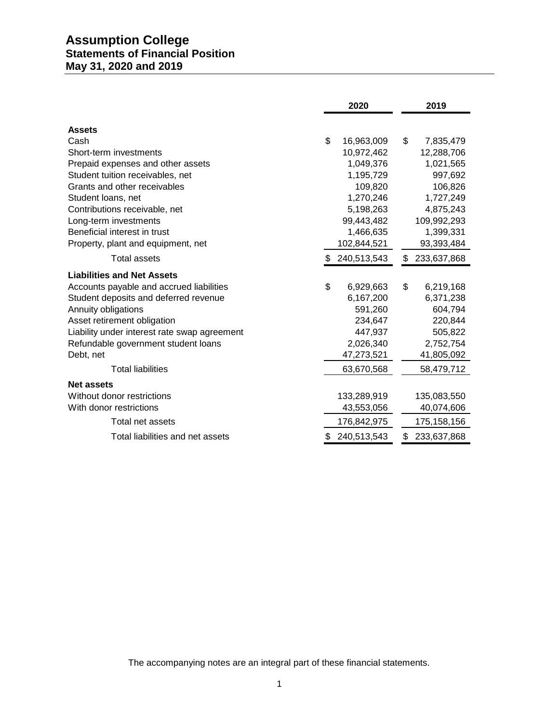# **Assumption College Statements of Financial Position May 31, 2020 and 2019**

|                                              | 2020             | 2019              |
|----------------------------------------------|------------------|-------------------|
|                                              |                  |                   |
| <b>Assets</b>                                |                  |                   |
| Cash                                         | \$<br>16,963,009 | \$<br>7,835,479   |
| Short-term investments                       | 10,972,462       | 12,288,706        |
| Prepaid expenses and other assets            | 1,049,376        | 1,021,565         |
| Student tuition receivables, net             | 1,195,729        | 997,692           |
| Grants and other receivables                 | 109,820          | 106,826           |
| Student Ioans, net                           | 1,270,246        | 1,727,249         |
| Contributions receivable, net                | 5,198,263        | 4,875,243         |
| Long-term investments                        | 99,443,482       | 109,992,293       |
| Beneficial interest in trust                 | 1,466,635        | 1,399,331         |
| Property, plant and equipment, net           | 102,844,521      | 93,393,484        |
| Total assets                                 | \$ 240,513,543   | \$233,637,868     |
| <b>Liabilities and Net Assets</b>            |                  |                   |
| Accounts payable and accrued liabilities     | \$<br>6,929,663  | \$<br>6,219,168   |
| Student deposits and deferred revenue        | 6,167,200        | 6,371,238         |
| Annuity obligations                          | 591,260          | 604,794           |
| Asset retirement obligation                  | 234,647          | 220,844           |
| Liability under interest rate swap agreement | 447,937          | 505,822           |
| Refundable government student loans          | 2,026,340        | 2,752,754         |
| Debt, net                                    | 47,273,521       | 41,805,092        |
| <b>Total liabilities</b>                     | 63,670,568       | 58,479,712        |
| <b>Net assets</b>                            |                  |                   |
| Without donor restrictions                   | 133,289,919      | 135,083,550       |
| With donor restrictions                      | 43,553,056       | 40,074,606        |
| Total net assets                             | 176,842,975      | 175,158,156       |
| Total liabilities and net assets             | 240,513,543      | \$<br>233,637,868 |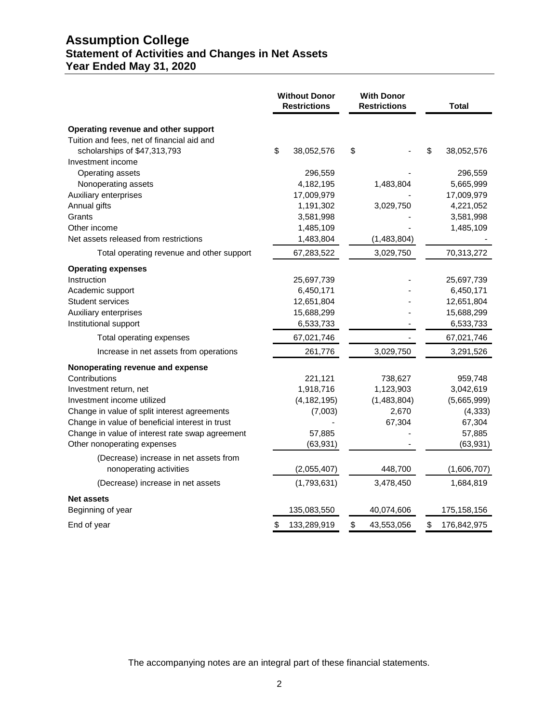# **Assumption College Statement of Activities and Changes in Net Assets Year Ended May 31, 2020**

|                                                 | <b>Without Donor</b><br><b>Restrictions</b> |               | <b>With Donor</b><br><b>Restrictions</b> |    | Total       |
|-------------------------------------------------|---------------------------------------------|---------------|------------------------------------------|----|-------------|
| Operating revenue and other support             |                                             |               |                                          |    |             |
| Tuition and fees, net of financial aid and      |                                             |               |                                          |    |             |
| scholarships of \$47,313,793                    | \$                                          | 38,052,576    | \$                                       | \$ | 38,052,576  |
| Investment income                               |                                             |               |                                          |    |             |
| Operating assets                                |                                             | 296,559       |                                          |    | 296,559     |
| Nonoperating assets                             |                                             | 4,182,195     | 1,483,804                                |    | 5,665,999   |
| Auxiliary enterprises                           |                                             | 17,009,979    |                                          |    | 17,009,979  |
| Annual gifts                                    |                                             | 1,191,302     | 3,029,750                                |    | 4,221,052   |
| Grants                                          |                                             | 3,581,998     |                                          |    | 3,581,998   |
| Other income                                    |                                             | 1,485,109     |                                          |    | 1,485,109   |
| Net assets released from restrictions           |                                             | 1,483,804     | (1,483,804)                              |    |             |
| Total operating revenue and other support       |                                             | 67,283,522    | 3,029,750                                |    | 70,313,272  |
| <b>Operating expenses</b>                       |                                             |               |                                          |    |             |
| Instruction                                     |                                             | 25,697,739    |                                          |    | 25,697,739  |
| Academic support                                |                                             | 6,450,171     |                                          |    | 6,450,171   |
| <b>Student services</b>                         |                                             | 12,651,804    |                                          |    | 12,651,804  |
| Auxiliary enterprises                           |                                             | 15,688,299    |                                          |    | 15,688,299  |
| Institutional support                           |                                             | 6,533,733     |                                          |    | 6,533,733   |
| Total operating expenses                        |                                             | 67,021,746    |                                          |    | 67,021,746  |
| Increase in net assets from operations          |                                             | 261,776       | 3,029,750                                |    | 3,291,526   |
| Nonoperating revenue and expense                |                                             |               |                                          |    |             |
| Contributions                                   |                                             | 221,121       | 738,627                                  |    | 959,748     |
| Investment return, net                          |                                             | 1,918,716     | 1,123,903                                |    | 3,042,619   |
| Investment income utilized                      |                                             | (4, 182, 195) | (1,483,804)                              |    | (5,665,999) |
| Change in value of split interest agreements    |                                             | (7,003)       | 2,670                                    |    | (4, 333)    |
| Change in value of beneficial interest in trust |                                             |               | 67,304                                   |    | 67,304      |
| Change in value of interest rate swap agreement |                                             | 57,885        |                                          |    | 57,885      |
| Other nonoperating expenses                     |                                             | (63, 931)     |                                          |    | (63, 931)   |
| (Decrease) increase in net assets from          |                                             |               |                                          |    |             |
| nonoperating activities                         |                                             | (2,055,407)   | 448,700                                  |    | (1,606,707) |
| (Decrease) increase in net assets               |                                             | (1,793,631)   | 3,478,450                                |    | 1,684,819   |
| <b>Net assets</b>                               |                                             |               |                                          |    |             |
| Beginning of year                               |                                             | 135,083,550   | 40,074,606                               |    | 175,158,156 |
| End of year                                     | \$                                          | 133,289,919   | \$<br>43,553,056                         | \$ | 176,842,975 |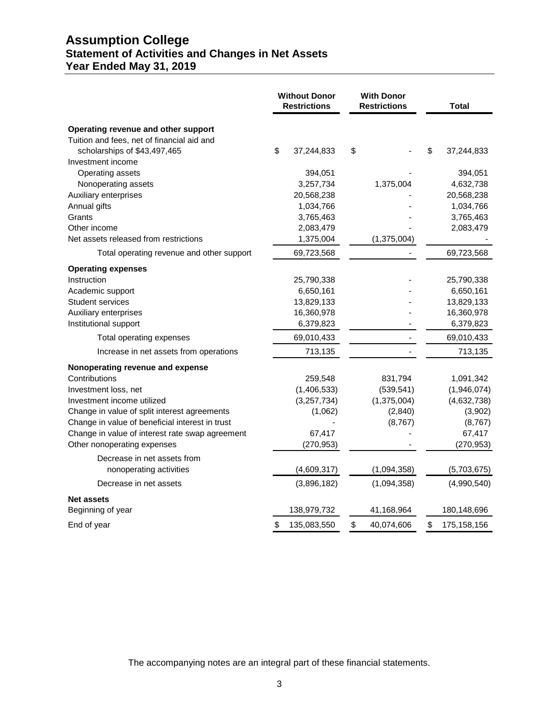# **Assumption College Statement of Activities and Changes in Net Assets Year Ended May 31, 2019**

|                                                 | <b>Without Donor</b><br><b>Restrictions</b> | <b>With Donor</b><br><b>Restrictions</b> | Total               |
|-------------------------------------------------|---------------------------------------------|------------------------------------------|---------------------|
| Operating revenue and other support             |                                             |                                          |                     |
| Tuition and fees, net of financial aid and      |                                             |                                          |                     |
| scholarships of \$43,497,465                    | \$<br>37,244,833                            | \$                                       | \$<br>37,244,833    |
| Investment income                               |                                             |                                          |                     |
| Operating assets                                | 394,051                                     |                                          | 394,051             |
| Nonoperating assets                             | 3,257,734                                   | 1,375,004                                | 4,632,738           |
| <b>Auxiliary enterprises</b>                    | 20,568,238                                  |                                          | 20,568,238          |
| Annual gifts                                    | 1,034,766                                   |                                          | 1,034,766           |
| Grants                                          | 3,765,463                                   |                                          | 3,765,463           |
| Other income                                    | 2,083,479                                   |                                          | 2,083,479           |
| Net assets released from restrictions           | 1,375,004                                   | (1,375,004)                              |                     |
| Total operating revenue and other support       | 69,723,568                                  |                                          | 69,723,568          |
| <b>Operating expenses</b>                       |                                             |                                          |                     |
| Instruction                                     | 25,790,338                                  |                                          | 25,790,338          |
| Academic support                                | 6,650,161                                   |                                          | 6,650,161           |
| Student services                                | 13,829,133                                  |                                          | 13,829,133          |
| Auxiliary enterprises                           | 16,360,978                                  |                                          | 16,360,978          |
| Institutional support                           | 6,379,823                                   |                                          | 6,379,823           |
| Total operating expenses                        | 69,010,433                                  |                                          | 69,010,433          |
| Increase in net assets from operations          | 713,135                                     |                                          | 713,135             |
| Nonoperating revenue and expense                |                                             |                                          |                     |
| Contributions                                   | 259,548                                     | 831,794                                  | 1,091,342           |
| Investment loss, net                            | (1,406,533)                                 | (539, 541)                               | (1,946,074)         |
| Investment income utilized                      | (3, 257, 734)                               | (1,375,004)                              | (4,632,738)         |
| Change in value of split interest agreements    | (1,062)                                     | (2,840)                                  | (3,902)             |
| Change in value of beneficial interest in trust |                                             | (8, 767)                                 | (8, 767)            |
| Change in value of interest rate swap agreement | 67,417                                      |                                          | 67,417              |
| Other nonoperating expenses                     | (270, 953)                                  |                                          | (270, 953)          |
| Decrease in net assets from                     |                                             |                                          |                     |
| nonoperating activities                         | (4,609,317)                                 | (1,094,358)                              | (5,703,675)         |
| Decrease in net assets                          | (3,896,182)                                 | (1,094,358)                              | (4,990,540)         |
| <b>Net assets</b>                               |                                             |                                          |                     |
| Beginning of year                               | 138,979,732                                 | 41,168,964                               | 180,148,696         |
| End of year                                     | \$<br>135,083,550                           | \$<br>40,074,606                         | \$<br>175, 158, 156 |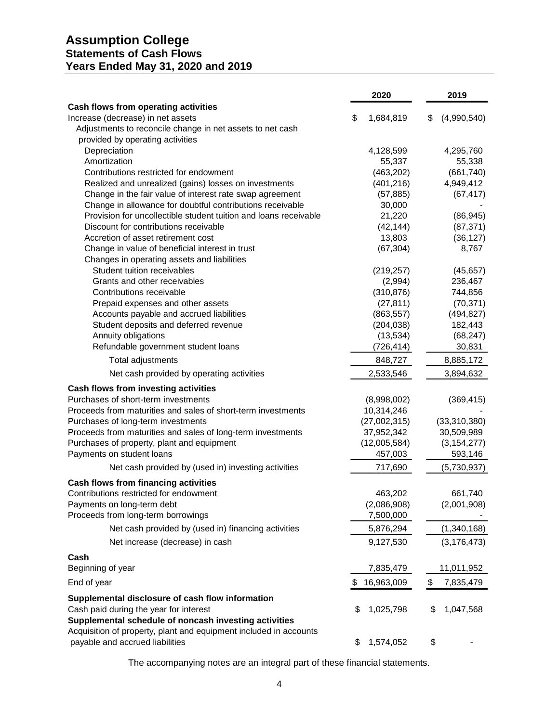# **Assumption College Statements of Cash Flows Years Ended May 31, 2020 and 2019**

|                                                                                                      | 2020                  | 2019                |
|------------------------------------------------------------------------------------------------------|-----------------------|---------------------|
| Cash flows from operating activities                                                                 |                       |                     |
| Increase (decrease) in net assets<br>Adjustments to reconcile change in net assets to net cash       | \$<br>1,684,819       | \$<br>(4,990,540)   |
| provided by operating activities                                                                     |                       |                     |
| Depreciation                                                                                         | 4,128,599             | 4,295,760           |
| Amortization                                                                                         | 55,337                | 55,338              |
| Contributions restricted for endowment                                                               | (463, 202)            | (661, 740)          |
| Realized and unrealized (gains) losses on investments                                                | (401, 216)            | 4,949,412           |
| Change in the fair value of interest rate swap agreement                                             | (57, 885)             | (67, 417)           |
| Change in allowance for doubtful contributions receivable                                            | 30,000                |                     |
| Provision for uncollectible student tuition and loans receivable                                     | 21,220                | (86, 945)           |
| Discount for contributions receivable                                                                | (42, 144)             | (87, 371)           |
| Accretion of asset retirement cost                                                                   | 13,803                | (36, 127)           |
| Change in value of beneficial interest in trust                                                      | (67, 304)             | 8,767               |
| Changes in operating assets and liabilities                                                          |                       |                     |
| Student tuition receivables                                                                          | (219, 257)            | (45, 657)           |
| Grants and other receivables                                                                         | (2,994)               | 236,467             |
| Contributions receivable                                                                             | (310, 876)            | 744,856             |
| Prepaid expenses and other assets                                                                    | (27, 811)             | (70, 371)           |
| Accounts payable and accrued liabilities                                                             | (863, 557)            | (494, 827)          |
| Student deposits and deferred revenue                                                                | (204, 038)            | 182,443             |
| Annuity obligations<br>Refundable government student loans                                           | (13, 534)             | (68, 247)<br>30,831 |
| Total adjustments                                                                                    | (726, 414)<br>848,727 | 8,885,172           |
| Net cash provided by operating activities                                                            | 2,533,546             | 3,894,632           |
|                                                                                                      |                       |                     |
| Cash flows from investing activities<br>Purchases of short-term investments                          | (8,998,002)           | (369, 415)          |
| Proceeds from maturities and sales of short-term investments                                         | 10,314,246            |                     |
| Purchases of long-term investments                                                                   | (27,002,315)          | (33,310,380)        |
| Proceeds from maturities and sales of long-term investments                                          | 37,952,342            | 30,509,989          |
| Purchases of property, plant and equipment                                                           | (12,005,584)          | (3, 154, 277)       |
| Payments on student loans                                                                            | 457,003               | 593,146             |
| Net cash provided by (used in) investing activities                                                  | 717,690               | (5,730,937)         |
| Cash flows from financing activities                                                                 |                       |                     |
| Contributions restricted for endowment                                                               | 463,202               | 661,740             |
| Payments on long-term debt                                                                           | (2,086,908)           | (2,001,908)         |
| Proceeds from long-term borrowings                                                                   | 7,500,000             |                     |
| Net cash provided by (used in) financing activities                                                  | 5,876,294             | (1,340,168)         |
| Net increase (decrease) in cash                                                                      | 9,127,530             | (3, 176, 473)       |
| Cash                                                                                                 |                       |                     |
| Beginning of year                                                                                    | 7,835,479             | 11,011,952          |
| End of year                                                                                          | \$<br>16,963,009      | \$<br>7,835,479     |
| Supplemental disclosure of cash flow information                                                     |                       |                     |
| Cash paid during the year for interest                                                               | \$<br>1,025,798       | \$<br>1,047,568     |
| Supplemental schedule of noncash investing activities                                                |                       |                     |
| Acquisition of property, plant and equipment included in accounts<br>payable and accrued liabilities | \$<br>1,574,052       | \$                  |
|                                                                                                      |                       |                     |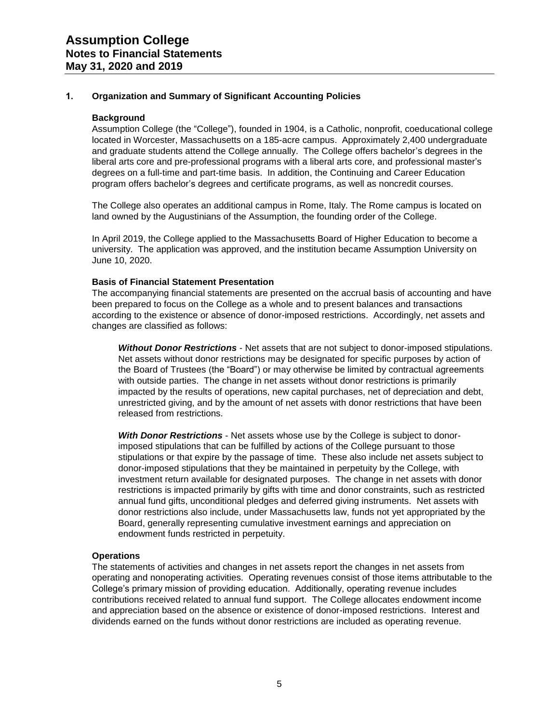## **1. Organization and Summary of Significant Accounting Policies**

#### **Background**

Assumption College (the "College"), founded in 1904, is a Catholic, nonprofit, coeducational college located in Worcester, Massachusetts on a 185-acre campus. Approximately 2,400 undergraduate and graduate students attend the College annually. The College offers bachelor's degrees in the liberal arts core and pre-professional programs with a liberal arts core, and professional master's degrees on a full-time and part-time basis. In addition, the Continuing and Career Education program offers bachelor's degrees and certificate programs, as well as noncredit courses.

The College also operates an additional campus in Rome, Italy. The Rome campus is located on land owned by the Augustinians of the Assumption, the founding order of the College.

In April 2019, the College applied to the Massachusetts Board of Higher Education to become a university. The application was approved, and the institution became Assumption University on June 10, 2020.

#### **Basis of Financial Statement Presentation**

The accompanying financial statements are presented on the accrual basis of accounting and have been prepared to focus on the College as a whole and to present balances and transactions according to the existence or absence of donor-imposed restrictions. Accordingly, net assets and changes are classified as follows:

*Without Donor Restrictions* - Net assets that are not subject to donor-imposed stipulations. Net assets without donor restrictions may be designated for specific purposes by action of the Board of Trustees (the "Board") or may otherwise be limited by contractual agreements with outside parties. The change in net assets without donor restrictions is primarily impacted by the results of operations, new capital purchases, net of depreciation and debt, unrestricted giving, and by the amount of net assets with donor restrictions that have been released from restrictions.

*With Donor Restrictions* - Net assets whose use by the College is subject to donorimposed stipulations that can be fulfilled by actions of the College pursuant to those stipulations or that expire by the passage of time. These also include net assets subject to donor-imposed stipulations that they be maintained in perpetuity by the College, with investment return available for designated purposes. The change in net assets with donor restrictions is impacted primarily by gifts with time and donor constraints, such as restricted annual fund gifts, unconditional pledges and deferred giving instruments. Net assets with donor restrictions also include, under Massachusetts law, funds not yet appropriated by the Board, generally representing cumulative investment earnings and appreciation on endowment funds restricted in perpetuity.

#### **Operations**

The statements of activities and changes in net assets report the changes in net assets from operating and nonoperating activities. Operating revenues consist of those items attributable to the College's primary mission of providing education. Additionally, operating revenue includes contributions received related to annual fund support. The College allocates endowment income and appreciation based on the absence or existence of donor-imposed restrictions. Interest and dividends earned on the funds without donor restrictions are included as operating revenue.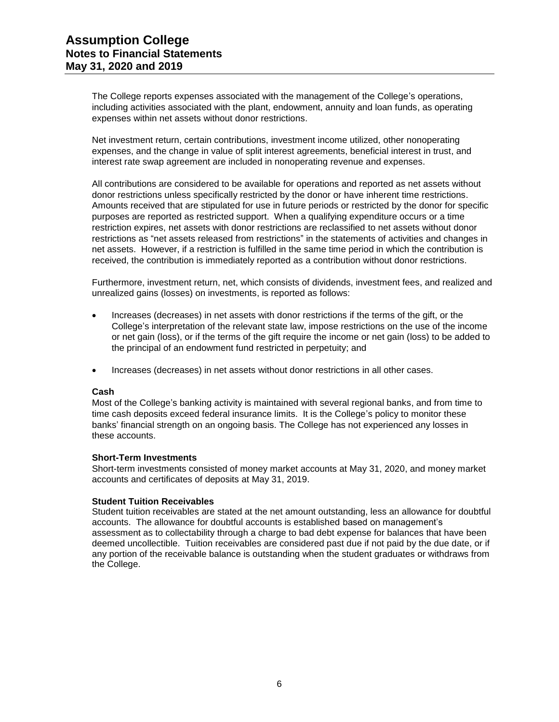The College reports expenses associated with the management of the College's operations, including activities associated with the plant, endowment, annuity and loan funds, as operating expenses within net assets without donor restrictions.

Net investment return, certain contributions, investment income utilized, other nonoperating expenses, and the change in value of split interest agreements, beneficial interest in trust, and interest rate swap agreement are included in nonoperating revenue and expenses.

All contributions are considered to be available for operations and reported as net assets without donor restrictions unless specifically restricted by the donor or have inherent time restrictions. Amounts received that are stipulated for use in future periods or restricted by the donor for specific purposes are reported as restricted support. When a qualifying expenditure occurs or a time restriction expires, net assets with donor restrictions are reclassified to net assets without donor restrictions as "net assets released from restrictions" in the statements of activities and changes in net assets. However, if a restriction is fulfilled in the same time period in which the contribution is received, the contribution is immediately reported as a contribution without donor restrictions.

Furthermore, investment return, net, which consists of dividends, investment fees, and realized and unrealized gains (losses) on investments, is reported as follows:

- Increases (decreases) in net assets with donor restrictions if the terms of the gift, or the College's interpretation of the relevant state law, impose restrictions on the use of the income or net gain (loss), or if the terms of the gift require the income or net gain (loss) to be added to the principal of an endowment fund restricted in perpetuity; and
- Increases (decreases) in net assets without donor restrictions in all other cases.

#### **Cash**

Most of the College's banking activity is maintained with several regional banks, and from time to time cash deposits exceed federal insurance limits. It is the College's policy to monitor these banks' financial strength on an ongoing basis. The College has not experienced any losses in these accounts.

#### **Short-Term Investments**

Short-term investments consisted of money market accounts at May 31, 2020, and money market accounts and certificates of deposits at May 31, 2019.

#### **Student Tuition Receivables**

Student tuition receivables are stated at the net amount outstanding, less an allowance for doubtful accounts. The allowance for doubtful accounts is established based on management's assessment as to collectability through a charge to bad debt expense for balances that have been deemed uncollectible. Tuition receivables are considered past due if not paid by the due date, or if any portion of the receivable balance is outstanding when the student graduates or withdraws from the College.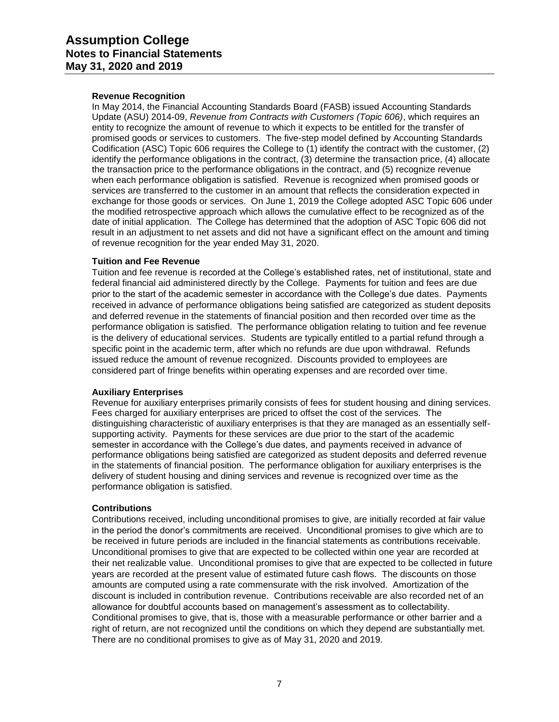#### **Revenue Recognition**

In May 2014, the Financial Accounting Standards Board (FASB) issued Accounting Standards Update (ASU) 2014-09, *Revenue from Contracts with Customers (Topic 606)*, which requires an entity to recognize the amount of revenue to which it expects to be entitled for the transfer of promised goods or services to customers. The five-step model defined by Accounting Standards Codification (ASC) Topic 606 requires the College to (1) identify the contract with the customer, (2) identify the performance obligations in the contract, (3) determine the transaction price, (4) allocate the transaction price to the performance obligations in the contract, and (5) recognize revenue when each performance obligation is satisfied. Revenue is recognized when promised goods or services are transferred to the customer in an amount that reflects the consideration expected in exchange for those goods or services. On June 1, 2019 the College adopted ASC Topic 606 under the modified retrospective approach which allows the cumulative effect to be recognized as of the date of initial application. The College has determined that the adoption of ASC Topic 606 did not result in an adjustment to net assets and did not have a significant effect on the amount and timing of revenue recognition for the year ended May 31, 2020.

#### **Tuition and Fee Revenue**

Tuition and fee revenue is recorded at the College's established rates, net of institutional, state and federal financial aid administered directly by the College. Payments for tuition and fees are due prior to the start of the academic semester in accordance with the College's due dates. Payments received in advance of performance obligations being satisfied are categorized as student deposits and deferred revenue in the statements of financial position and then recorded over time as the performance obligation is satisfied. The performance obligation relating to tuition and fee revenue is the delivery of educational services. Students are typically entitled to a partial refund through a specific point in the academic term, after which no refunds are due upon withdrawal. Refunds issued reduce the amount of revenue recognized. Discounts provided to employees are considered part of fringe benefits within operating expenses and are recorded over time.

#### **Auxiliary Enterprises**

Revenue for auxiliary enterprises primarily consists of fees for student housing and dining services. Fees charged for auxiliary enterprises are priced to offset the cost of the services. The distinguishing characteristic of auxiliary enterprises is that they are managed as an essentially selfsupporting activity. Payments for these services are due prior to the start of the academic semester in accordance with the College's due dates, and payments received in advance of performance obligations being satisfied are categorized as student deposits and deferred revenue in the statements of financial position. The performance obligation for auxiliary enterprises is the delivery of student housing and dining services and revenue is recognized over time as the performance obligation is satisfied.

#### **Contributions**

Contributions received, including unconditional promises to give, are initially recorded at fair value in the period the donor's commitments are received. Unconditional promises to give which are to be received in future periods are included in the financial statements as contributions receivable. Unconditional promises to give that are expected to be collected within one year are recorded at their net realizable value. Unconditional promises to give that are expected to be collected in future years are recorded at the present value of estimated future cash flows. The discounts on those amounts are computed using a rate commensurate with the risk involved. Amortization of the discount is included in contribution revenue. Contributions receivable are also recorded net of an allowance for doubtful accounts based on management's assessment as to collectability. Conditional promises to give, that is, those with a measurable performance or other barrier and a right of return, are not recognized until the conditions on which they depend are substantially met. There are no conditional promises to give as of May 31, 2020 and 2019.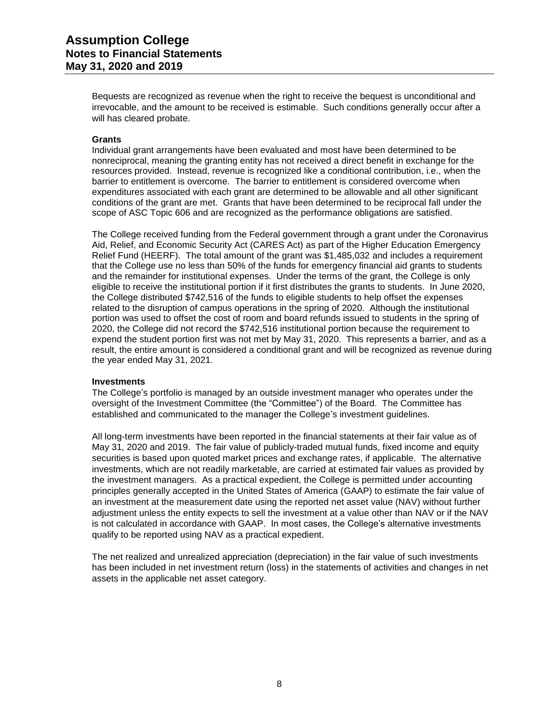Bequests are recognized as revenue when the right to receive the bequest is unconditional and irrevocable, and the amount to be received is estimable. Such conditions generally occur after a will has cleared probate.

#### **Grants**

Individual grant arrangements have been evaluated and most have been determined to be nonreciprocal, meaning the granting entity has not received a direct benefit in exchange for the resources provided. Instead, revenue is recognized like a conditional contribution, i.e., when the barrier to entitlement is overcome. The barrier to entitlement is considered overcome when expenditures associated with each grant are determined to be allowable and all other significant conditions of the grant are met. Grants that have been determined to be reciprocal fall under the scope of ASC Topic 606 and are recognized as the performance obligations are satisfied.

The College received funding from the Federal government through a grant under the Coronavirus Aid, Relief, and Economic Security Act (CARES Act) as part of the Higher Education Emergency Relief Fund (HEERF). The total amount of the grant was \$1,485,032 and includes a requirement that the College use no less than 50% of the funds for emergency financial aid grants to students and the remainder for institutional expenses. Under the terms of the grant, the College is only eligible to receive the institutional portion if it first distributes the grants to students. In June 2020, the College distributed \$742,516 of the funds to eligible students to help offset the expenses related to the disruption of campus operations in the spring of 2020. Although the institutional portion was used to offset the cost of room and board refunds issued to students in the spring of 2020, the College did not record the \$742,516 institutional portion because the requirement to expend the student portion first was not met by May 31, 2020. This represents a barrier, and as a result, the entire amount is considered a conditional grant and will be recognized as revenue during the year ended May 31, 2021.

#### **Investments**

The College's portfolio is managed by an outside investment manager who operates under the oversight of the Investment Committee (the "Committee") of the Board. The Committee has established and communicated to the manager the College's investment guidelines.

All long-term investments have been reported in the financial statements at their fair value as of May 31, 2020 and 2019. The fair value of publicly-traded mutual funds, fixed income and equity securities is based upon quoted market prices and exchange rates, if applicable. The alternative investments, which are not readily marketable, are carried at estimated fair values as provided by the investment managers. As a practical expedient, the College is permitted under accounting principles generally accepted in the United States of America (GAAP) to estimate the fair value of an investment at the measurement date using the reported net asset value (NAV) without further adjustment unless the entity expects to sell the investment at a value other than NAV or if the NAV is not calculated in accordance with GAAP. In most cases, the College's alternative investments qualify to be reported using NAV as a practical expedient.

The net realized and unrealized appreciation (depreciation) in the fair value of such investments has been included in net investment return (loss) in the statements of activities and changes in net assets in the applicable net asset category.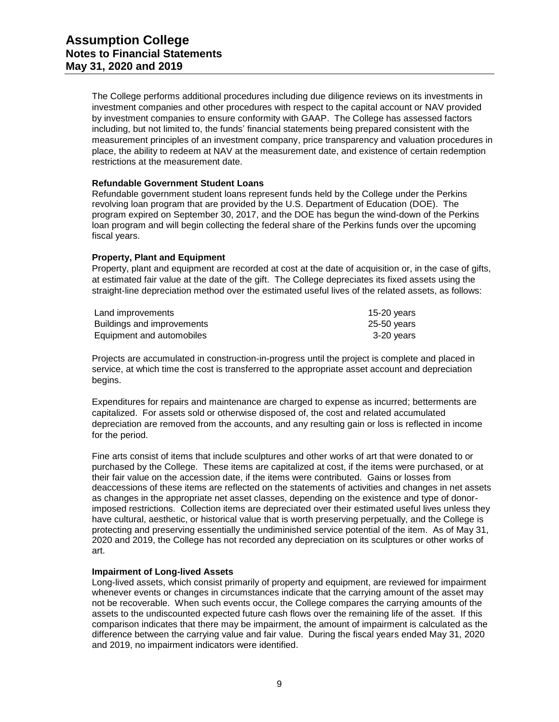The College performs additional procedures including due diligence reviews on its investments in investment companies and other procedures with respect to the capital account or NAV provided by investment companies to ensure conformity with GAAP. The College has assessed factors including, but not limited to, the funds' financial statements being prepared consistent with the measurement principles of an investment company, price transparency and valuation procedures in place, the ability to redeem at NAV at the measurement date, and existence of certain redemption restrictions at the measurement date.

#### **Refundable Government Student Loans**

Refundable government student loans represent funds held by the College under the Perkins revolving loan program that are provided by the U.S. Department of Education (DOE). The program expired on September 30, 2017, and the DOE has begun the wind-down of the Perkins loan program and will begin collecting the federal share of the Perkins funds over the upcoming fiscal years.

#### **Property, Plant and Equipment**

Property, plant and equipment are recorded at cost at the date of acquisition or, in the case of gifts, at estimated fair value at the date of the gift. The College depreciates its fixed assets using the straight-line depreciation method over the estimated useful lives of the related assets, as follows:

| Land improvements          | 15-20 $years$ |
|----------------------------|---------------|
| Buildings and improvements | 25-50 years   |
| Equipment and automobiles  | 3-20 vears    |

Projects are accumulated in construction-in-progress until the project is complete and placed in service, at which time the cost is transferred to the appropriate asset account and depreciation begins.

Expenditures for repairs and maintenance are charged to expense as incurred; betterments are capitalized. For assets sold or otherwise disposed of, the cost and related accumulated depreciation are removed from the accounts, and any resulting gain or loss is reflected in income for the period.

Fine arts consist of items that include sculptures and other works of art that were donated to or purchased by the College. These items are capitalized at cost, if the items were purchased, or at their fair value on the accession date, if the items were contributed. Gains or losses from deaccessions of these items are reflected on the statements of activities and changes in net assets as changes in the appropriate net asset classes, depending on the existence and type of donorimposed restrictions. Collection items are depreciated over their estimated useful lives unless they have cultural, aesthetic, or historical value that is worth preserving perpetually, and the College is protecting and preserving essentially the undiminished service potential of the item. As of May 31, 2020 and 2019, the College has not recorded any depreciation on its sculptures or other works of art.

#### **Impairment of Long-lived Assets**

Long-lived assets, which consist primarily of property and equipment, are reviewed for impairment whenever events or changes in circumstances indicate that the carrying amount of the asset may not be recoverable. When such events occur, the College compares the carrying amounts of the assets to the undiscounted expected future cash flows over the remaining life of the asset. If this comparison indicates that there may be impairment, the amount of impairment is calculated as the difference between the carrying value and fair value. During the fiscal years ended May 31, 2020 and 2019, no impairment indicators were identified.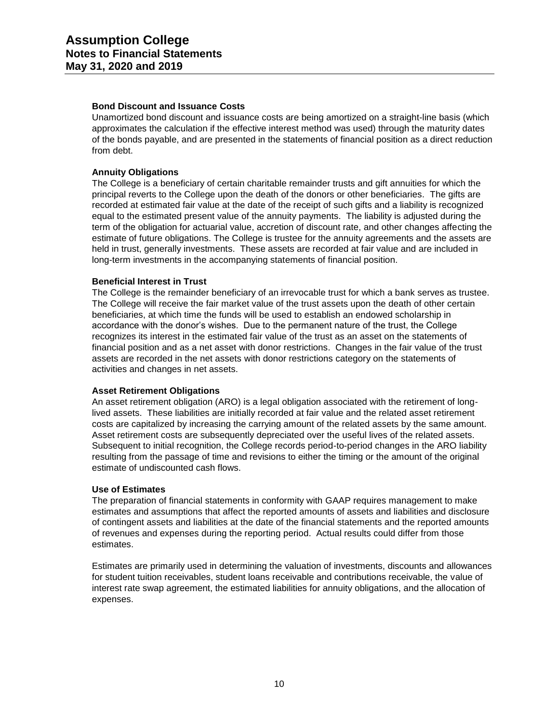#### **Bond Discount and Issuance Costs**

Unamortized bond discount and issuance costs are being amortized on a straight-line basis (which approximates the calculation if the effective interest method was used) through the maturity dates of the bonds payable, and are presented in the statements of financial position as a direct reduction from debt.

#### **Annuity Obligations**

The College is a beneficiary of certain charitable remainder trusts and gift annuities for which the principal reverts to the College upon the death of the donors or other beneficiaries. The gifts are recorded at estimated fair value at the date of the receipt of such gifts and a liability is recognized equal to the estimated present value of the annuity payments. The liability is adjusted during the term of the obligation for actuarial value, accretion of discount rate, and other changes affecting the estimate of future obligations. The College is trustee for the annuity agreements and the assets are held in trust, generally investments. These assets are recorded at fair value and are included in long-term investments in the accompanying statements of financial position.

#### **Beneficial Interest in Trust**

The College is the remainder beneficiary of an irrevocable trust for which a bank serves as trustee. The College will receive the fair market value of the trust assets upon the death of other certain beneficiaries, at which time the funds will be used to establish an endowed scholarship in accordance with the donor's wishes. Due to the permanent nature of the trust, the College recognizes its interest in the estimated fair value of the trust as an asset on the statements of financial position and as a net asset with donor restrictions. Changes in the fair value of the trust assets are recorded in the net assets with donor restrictions category on the statements of activities and changes in net assets.

#### **Asset Retirement Obligations**

An asset retirement obligation (ARO) is a legal obligation associated with the retirement of longlived assets. These liabilities are initially recorded at fair value and the related asset retirement costs are capitalized by increasing the carrying amount of the related assets by the same amount. Asset retirement costs are subsequently depreciated over the useful lives of the related assets. Subsequent to initial recognition, the College records period-to-period changes in the ARO liability resulting from the passage of time and revisions to either the timing or the amount of the original estimate of undiscounted cash flows.

#### **Use of Estimates**

The preparation of financial statements in conformity with GAAP requires management to make estimates and assumptions that affect the reported amounts of assets and liabilities and disclosure of contingent assets and liabilities at the date of the financial statements and the reported amounts of revenues and expenses during the reporting period. Actual results could differ from those estimates.

Estimates are primarily used in determining the valuation of investments, discounts and allowances for student tuition receivables, student loans receivable and contributions receivable, the value of interest rate swap agreement, the estimated liabilities for annuity obligations, and the allocation of expenses.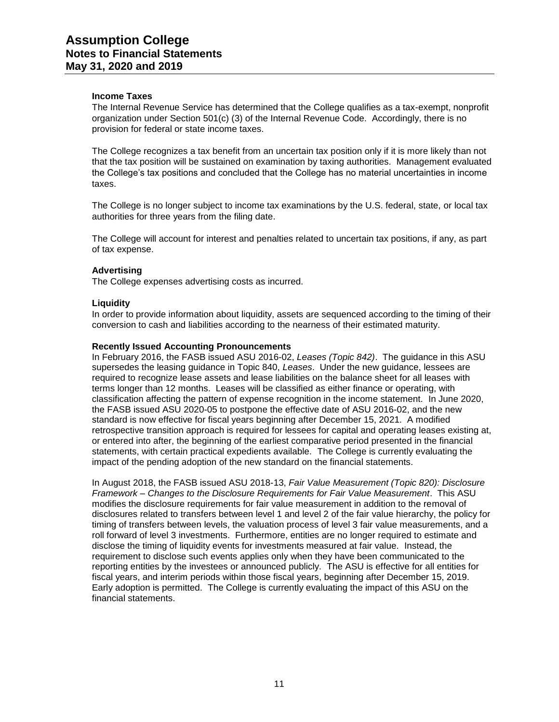#### **Income Taxes**

The Internal Revenue Service has determined that the College qualifies as a tax-exempt, nonprofit organization under Section 501(c) (3) of the Internal Revenue Code. Accordingly, there is no provision for federal or state income taxes.

The College recognizes a tax benefit from an uncertain tax position only if it is more likely than not that the tax position will be sustained on examination by taxing authorities. Management evaluated the College's tax positions and concluded that the College has no material uncertainties in income taxes.

The College is no longer subject to income tax examinations by the U.S. federal, state, or local tax authorities for three years from the filing date.

The College will account for interest and penalties related to uncertain tax positions, if any, as part of tax expense.

#### **Advertising**

The College expenses advertising costs as incurred.

#### **Liquidity**

In order to provide information about liquidity, assets are sequenced according to the timing of their conversion to cash and liabilities according to the nearness of their estimated maturity.

#### **Recently Issued Accounting Pronouncements**

In February 2016, the FASB issued ASU 2016-02, *Leases (Topic 842)*. The guidance in this ASU supersedes the leasing guidance in Topic 840, *Leases*. Under the new guidance, lessees are required to recognize lease assets and lease liabilities on the balance sheet for all leases with terms longer than 12 months. Leases will be classified as either finance or operating, with classification affecting the pattern of expense recognition in the income statement. In June 2020, the FASB issued ASU 2020-05 to postpone the effective date of ASU 2016-02, and the new standard is now effective for fiscal years beginning after December 15, 2021. A modified retrospective transition approach is required for lessees for capital and operating leases existing at, or entered into after, the beginning of the earliest comparative period presented in the financial statements, with certain practical expedients available. The College is currently evaluating the impact of the pending adoption of the new standard on the financial statements.

In August 2018, the FASB issued ASU 2018-13, *Fair Value Measurement (Topic 820): Disclosure Framework – Changes to the Disclosure Requirements for Fair Value Measurement*. This ASU modifies the disclosure requirements for fair value measurement in addition to the removal of disclosures related to transfers between level 1 and level 2 of the fair value hierarchy, the policy for timing of transfers between levels, the valuation process of level 3 fair value measurements, and a roll forward of level 3 investments. Furthermore, entities are no longer required to estimate and disclose the timing of liquidity events for investments measured at fair value. Instead, the requirement to disclose such events applies only when they have been communicated to the reporting entities by the investees or announced publicly. The ASU is effective for all entities for fiscal years, and interim periods within those fiscal years, beginning after December 15, 2019. Early adoption is permitted. The College is currently evaluating the impact of this ASU on the financial statements.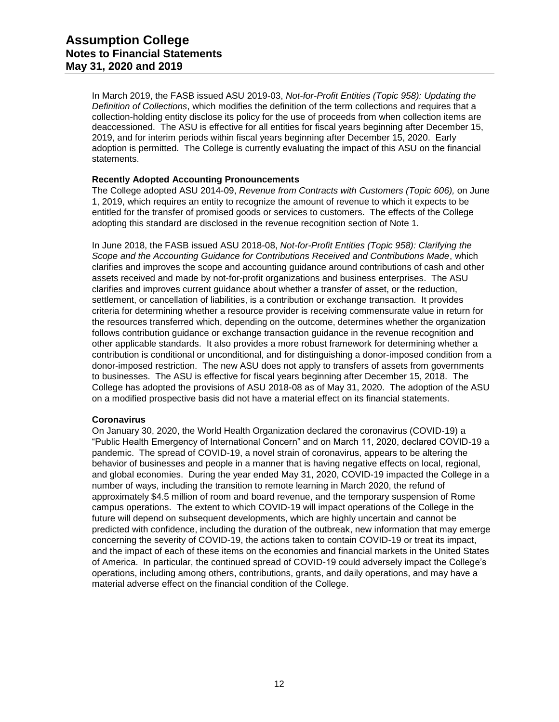In March 2019, the FASB issued ASU 2019-03, *Not-for-Profit Entities (Topic 958): Updating the Definition of Collections*, which modifies the definition of the term collections and requires that a collection-holding entity disclose its policy for the use of proceeds from when collection items are deaccessioned. The ASU is effective for all entities for fiscal years beginning after December 15, 2019, and for interim periods within fiscal years beginning after December 15, 2020. Early adoption is permitted. The College is currently evaluating the impact of this ASU on the financial statements.

#### **Recently Adopted Accounting Pronouncements**

The College adopted ASU 2014-09, *Revenue from Contracts with Customers (Topic 606),* on June 1, 2019, which requires an entity to recognize the amount of revenue to which it expects to be entitled for the transfer of promised goods or services to customers. The effects of the College adopting this standard are disclosed in the revenue recognition section of Note 1.

In June 2018, the FASB issued ASU 2018-08, *Not-for-Profit Entities (Topic 958): Clarifying the Scope and the Accounting Guidance for Contributions Received and Contributions Made*, which clarifies and improves the scope and accounting guidance around contributions of cash and other assets received and made by not-for-profit organizations and business enterprises. The ASU clarifies and improves current guidance about whether a transfer of asset, or the reduction, settlement, or cancellation of liabilities, is a contribution or exchange transaction. It provides criteria for determining whether a resource provider is receiving commensurate value in return for the resources transferred which, depending on the outcome, determines whether the organization follows contribution guidance or exchange transaction guidance in the revenue recognition and other applicable standards. It also provides a more robust framework for determining whether a contribution is conditional or unconditional, and for distinguishing a donor-imposed condition from a donor-imposed restriction. The new ASU does not apply to transfers of assets from governments to businesses. The ASU is effective for fiscal years beginning after December 15, 2018. The College has adopted the provisions of ASU 2018-08 as of May 31, 2020. The adoption of the ASU on a modified prospective basis did not have a material effect on its financial statements.

#### **Coronavirus**

On January 30, 2020, the World Health Organization declared the coronavirus (COVID-19) a "Public Health Emergency of International Concern" and on March 11, 2020, declared COVID-19 a pandemic. The spread of COVID-19, a novel strain of coronavirus, appears to be altering the behavior of businesses and people in a manner that is having negative effects on local, regional, and global economies. During the year ended May 31, 2020, COVID-19 impacted the College in a number of ways, including the transition to remote learning in March 2020, the refund of approximately \$4.5 million of room and board revenue, and the temporary suspension of Rome campus operations. The extent to which COVID-19 will impact operations of the College in the future will depend on subsequent developments, which are highly uncertain and cannot be predicted with confidence, including the duration of the outbreak, new information that may emerge concerning the severity of COVID-19, the actions taken to contain COVID-19 or treat its impact, and the impact of each of these items on the economies and financial markets in the United States of America. In particular, the continued spread of COVID-19 could adversely impact the College's operations, including among others, contributions, grants, and daily operations, and may have a material adverse effect on the financial condition of the College.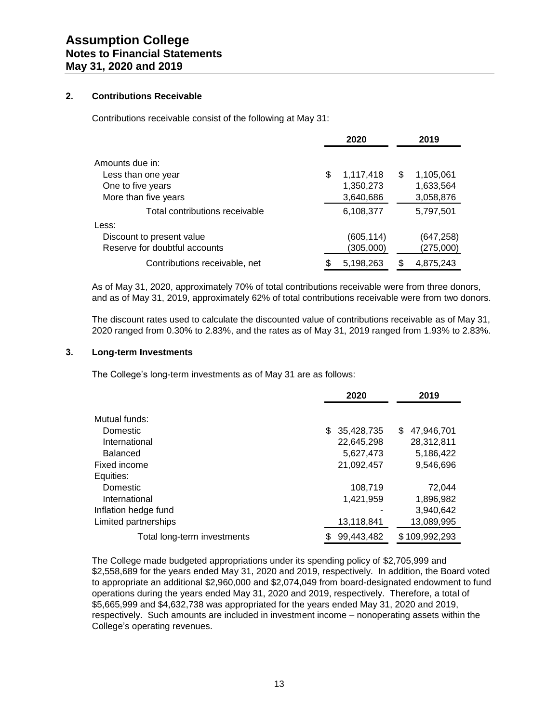## **2. Contributions Receivable**

Contributions receivable consist of the following at May 31:

|                                |   | 2020      |    | 2019       |
|--------------------------------|---|-----------|----|------------|
| Amounts due in:                |   |           |    |            |
| Less than one year             | S | 1,117,418 | \$ | 1,105,061  |
| One to five years              |   | 1,350,273 |    | 1,633,564  |
| More than five years           |   | 3,640,686 |    | 3,058,876  |
| Total contributions receivable |   | 6,108,377 |    | 5,797,501  |
| Less:                          |   |           |    |            |
| Discount to present value      |   | (605,114) |    | (647, 258) |
| Reserve for doubtful accounts  |   | (305,000) |    | (275,000)  |
| Contributions receivable, net  |   | 5,198,263 | S  | 4,875,243  |

As of May 31, 2020, approximately 70% of total contributions receivable were from three donors, and as of May 31, 2019, approximately 62% of total contributions receivable were from two donors.

The discount rates used to calculate the discounted value of contributions receivable as of May 31, 2020 ranged from 0.30% to 2.83%, and the rates as of May 31, 2019 ranged from 1.93% to 2.83%.

#### **3. Long-term Investments**

The College's long-term investments as of May 31 are as follows:

|                             | 2020              | 2019              |
|-----------------------------|-------------------|-------------------|
| Mutual funds:               |                   |                   |
| Domestic                    | 35,428,735<br>\$. | 47,946,701<br>\$. |
| International               | 22.645.298        | 28,312,811        |
| <b>Balanced</b>             | 5,627,473         | 5,186,422         |
| Fixed income                | 21,092,457        | 9,546,696         |
| Equities:                   |                   |                   |
| Domestic                    | 108,719           | 72,044            |
| International               | 1,421,959         | 1,896,982         |
| Inflation hedge fund        |                   | 3,940,642         |
| Limited partnerships        | 13,118,841        | 13,089,995        |
| Total long-term investments | 99.443.482<br>S   | \$109,992,293     |

The College made budgeted appropriations under its spending policy of \$2,705,999 and \$2,558,689 for the years ended May 31, 2020 and 2019, respectively. In addition, the Board voted to appropriate an additional \$2,960,000 and \$2,074,049 from board-designated endowment to fund operations during the years ended May 31, 2020 and 2019, respectively. Therefore, a total of \$5,665,999 and \$4,632,738 was appropriated for the years ended May 31, 2020 and 2019, respectively. Such amounts are included in investment income – nonoperating assets within the College's operating revenues.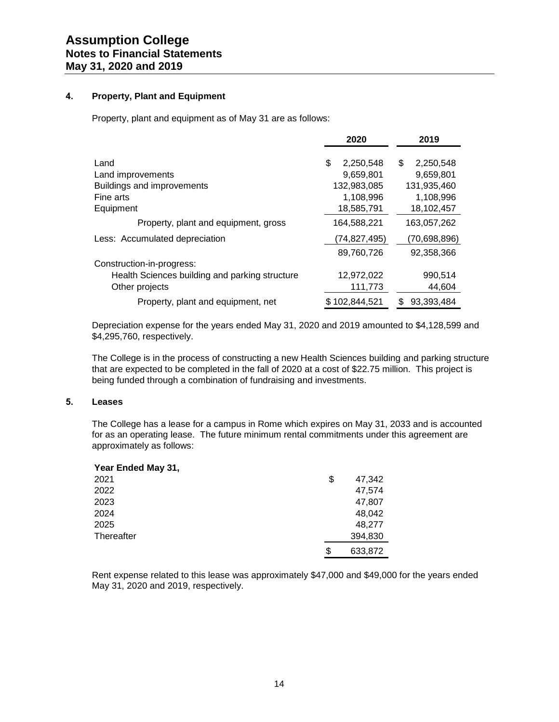### **4. Property, Plant and Equipment**

Property, plant and equipment as of May 31 are as follows:

|                                                | 2020            | 2019            |
|------------------------------------------------|-----------------|-----------------|
|                                                |                 |                 |
| Land                                           | \$<br>2,250,548 | \$<br>2,250,548 |
| Land improvements                              | 9,659,801       | 9,659,801       |
| Buildings and improvements                     | 132,983,085     | 131,935,460     |
| Fine arts                                      | 1,108,996       | 1,108,996       |
| Equipment                                      | 18,585,791      | 18,102,457      |
| Property, plant and equipment, gross           | 164,588,221     | 163,057,262     |
| Less: Accumulated depreciation                 | (74,827,495)    | (70,698,896)    |
|                                                | 89.760.726      | 92,358,366      |
| Construction-in-progress:                      |                 |                 |
| Health Sciences building and parking structure | 12,972,022      | 990.514         |
| Other projects                                 | 111,773         | 44,604          |
| Property, plant and equipment, net             | \$102,844,521   | 93,393,484<br>S |

Depreciation expense for the years ended May 31, 2020 and 2019 amounted to \$4,128,599 and \$4,295,760, respectively.

The College is in the process of constructing a new Health Sciences building and parking structure that are expected to be completed in the fall of 2020 at a cost of \$22.75 million. This project is being funded through a combination of fundraising and investments.

#### **5. Leases**

The College has a lease for a campus in Rome which expires on May 31, 2033 and is accounted for as an operating lease. The future minimum rental commitments under this agreement are approximately as follows:

| Year Ended May 31, |               |
|--------------------|---------------|
| 2021               | \$<br>47,342  |
| 2022               | 47,574        |
| 2023               | 47,807        |
| 2024               | 48,042        |
| 2025               | 48,277        |
| Thereafter         | 394,830       |
|                    | \$<br>633,872 |

Rent expense related to this lease was approximately \$47,000 and \$49,000 for the years ended May 31, 2020 and 2019, respectively.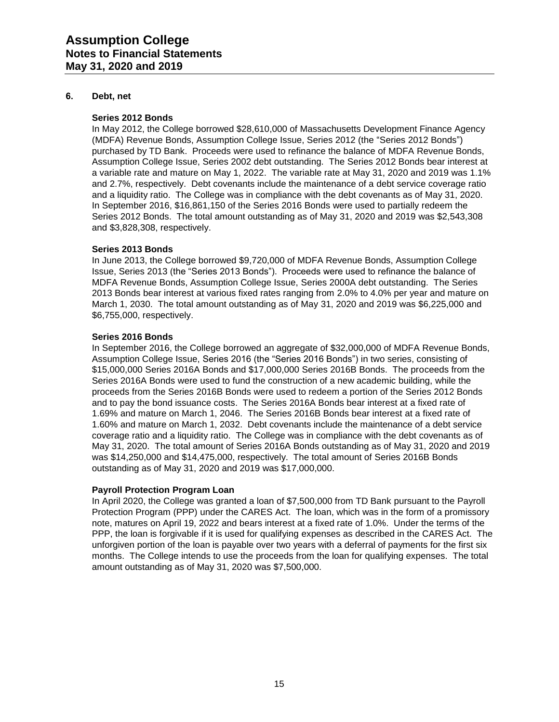#### **6. Debt, net**

#### **Series 2012 Bonds**

In May 2012, the College borrowed \$28,610,000 of Massachusetts Development Finance Agency (MDFA) Revenue Bonds, Assumption College Issue, Series 2012 (the "Series 2012 Bonds") purchased by TD Bank. Proceeds were used to refinance the balance of MDFA Revenue Bonds, Assumption College Issue, Series 2002 debt outstanding. The Series 2012 Bonds bear interest at a variable rate and mature on May 1, 2022. The variable rate at May 31, 2020 and 2019 was 1.1% and 2.7%, respectively. Debt covenants include the maintenance of a debt service coverage ratio and a liquidity ratio. The College was in compliance with the debt covenants as of May 31, 2020. In September 2016, \$16,861,150 of the Series 2016 Bonds were used to partially redeem the Series 2012 Bonds. The total amount outstanding as of May 31, 2020 and 2019 was \$2,543,308 and \$3,828,308, respectively.

## **Series 2013 Bonds**

In June 2013, the College borrowed \$9,720,000 of MDFA Revenue Bonds, Assumption College Issue, Series 2013 (the "Series 2013 Bonds"). Proceeds were used to refinance the balance of MDFA Revenue Bonds, Assumption College Issue, Series 2000A debt outstanding. The Series 2013 Bonds bear interest at various fixed rates ranging from 2.0% to 4.0% per year and mature on March 1, 2030. The total amount outstanding as of May 31, 2020 and 2019 was \$6,225,000 and \$6,755,000, respectively.

#### **Series 2016 Bonds**

In September 2016, the College borrowed an aggregate of \$32,000,000 of MDFA Revenue Bonds, Assumption College Issue, Series 2016 (the "Series 2016 Bonds") in two series, consisting of \$15,000,000 Series 2016A Bonds and \$17,000,000 Series 2016B Bonds. The proceeds from the Series 2016A Bonds were used to fund the construction of a new academic building, while the proceeds from the Series 2016B Bonds were used to redeem a portion of the Series 2012 Bonds and to pay the bond issuance costs. The Series 2016A Bonds bear interest at a fixed rate of 1.69% and mature on March 1, 2046. The Series 2016B Bonds bear interest at a fixed rate of 1.60% and mature on March 1, 2032. Debt covenants include the maintenance of a debt service coverage ratio and a liquidity ratio. The College was in compliance with the debt covenants as of May 31, 2020. The total amount of Series 2016A Bonds outstanding as of May 31, 2020 and 2019 was \$14,250,000 and \$14,475,000, respectively. The total amount of Series 2016B Bonds outstanding as of May 31, 2020 and 2019 was \$17,000,000.

## **Payroll Protection Program Loan**

In April 2020, the College was granted a loan of \$7,500,000 from TD Bank pursuant to the Payroll Protection Program (PPP) under the CARES Act. The loan, which was in the form of a promissory note, matures on April 19, 2022 and bears interest at a fixed rate of 1.0%. Under the terms of the PPP, the loan is forgivable if it is used for qualifying expenses as described in the CARES Act. The unforgiven portion of the loan is payable over two years with a deferral of payments for the first six months. The College intends to use the proceeds from the loan for qualifying expenses. The total amount outstanding as of May 31, 2020 was \$7,500,000.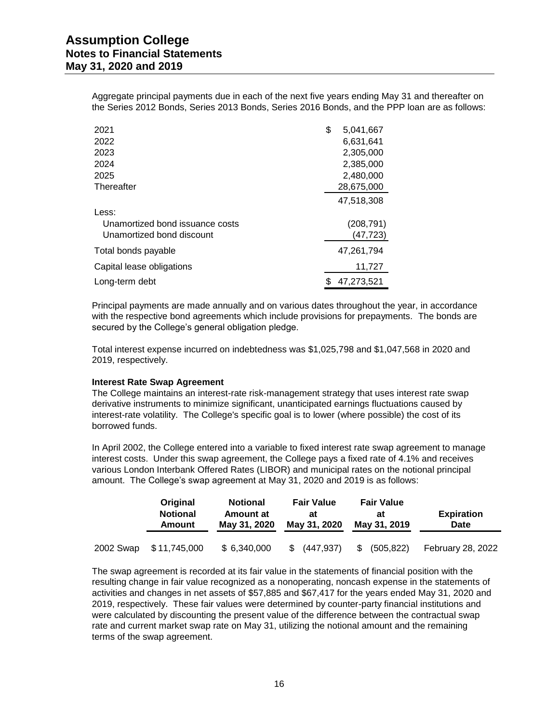Aggregate principal payments due in each of the next five years ending May 31 and thereafter on the Series 2012 Bonds, Series 2013 Bonds, Series 2016 Bonds, and the PPP loan are as follows:

| 2021                            | \$ | 5.041.667  |
|---------------------------------|----|------------|
| 2022                            |    | 6,631,641  |
| 2023                            |    | 2,305,000  |
| 2024                            |    | 2,385,000  |
| 2025                            |    | 2,480,000  |
| Thereafter                      |    | 28,675,000 |
|                                 |    | 47,518,308 |
| Less:                           |    |            |
| Unamortized bond issuance costs |    | (208,791)  |
| Unamortized bond discount       |    | (47, 723)  |
| Total bonds payable             |    | 47,261,794 |
| Capital lease obligations       |    | 11,727     |
| Long-term debt                  | S  | 47,273,521 |

Principal payments are made annually and on various dates throughout the year, in accordance with the respective bond agreements which include provisions for prepayments. The bonds are secured by the College's general obligation pledge.

Total interest expense incurred on indebtedness was \$1,025,798 and \$1,047,568 in 2020 and 2019, respectively.

#### **Interest Rate Swap Agreement**

The College maintains an interest-rate risk-management strategy that uses interest rate swap derivative instruments to minimize significant, unanticipated earnings fluctuations caused by interest-rate volatility. The College's specific goal is to lower (where possible) the cost of its borrowed funds.

In April 2002, the College entered into a variable to fixed interest rate swap agreement to manage interest costs. Under this swap agreement, the College pays a fixed rate of 4.1% and receives various London Interbank Offered Rates (LIBOR) and municipal rates on the notional principal amount. The College's swap agreement at May 31, 2020 and 2019 is as follows:

|           | <b>Original</b><br><b>Notional</b><br>Amount | <b>Notional</b><br>Amount at<br>May 31, 2020 | <b>Fair Value</b><br>at<br>May 31, 2020 | <b>Fair Value</b><br>at<br>May 31, 2019 | <b>Expiration</b><br><b>Date</b> |
|-----------|----------------------------------------------|----------------------------------------------|-----------------------------------------|-----------------------------------------|----------------------------------|
| 2002 Swap | \$11,745,000                                 | \$ 6,340,000                                 | \$.<br>(447, 937)                       | S.<br>(505, 822)                        | February 28, 2022                |

The swap agreement is recorded at its fair value in the statements of financial position with the resulting change in fair value recognized as a nonoperating, noncash expense in the statements of activities and changes in net assets of \$57,885 and \$67,417 for the years ended May 31, 2020 and 2019, respectively. These fair values were determined by counter-party financial institutions and were calculated by discounting the present value of the difference between the contractual swap rate and current market swap rate on May 31, utilizing the notional amount and the remaining terms of the swap agreement.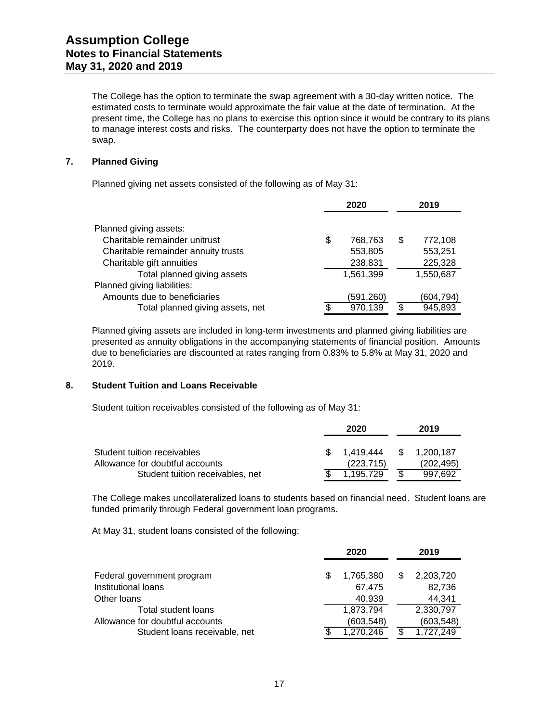The College has the option to terminate the swap agreement with a 30-day written notice. The estimated costs to terminate would approximate the fair value at the date of termination. At the present time, the College has no plans to exercise this option since it would be contrary to its plans to manage interest costs and risks. The counterparty does not have the option to terminate the swap.

## **7. Planned Giving**

Planned giving net assets consisted of the following as of May 31:

|                                     | 2020          |    | 2019      |
|-------------------------------------|---------------|----|-----------|
| Planned giving assets:              |               |    |           |
| Charitable remainder unitrust       | \$<br>768,763 | S  | 772,108   |
| Charitable remainder annuity trusts | 553,805       |    | 553,251   |
| Charitable gift annuities           | 238,831       |    | 225,328   |
| Total planned giving assets         | 1,561,399     |    | 1,550,687 |
| Planned giving liabilities:         |               |    |           |
| Amounts due to beneficiaries        | (591,260)     |    | (604,794) |
| Total planned giving assets, net    | 970,139       | \$ | 945,893   |

Planned giving assets are included in long-term investments and planned giving liabilities are presented as annuity obligations in the accompanying statements of financial position. Amounts due to beneficiaries are discounted at rates ranging from 0.83% to 5.8% at May 31, 2020 and 2019.

#### **8. Student Tuition and Loans Receivable**

Student tuition receivables consisted of the following as of May 31:

|                                  | 2020       |      | 2019       |
|----------------------------------|------------|------|------------|
| Student tuition receivables      | 1.419.444  | - SS | 1.200.187  |
| Allowance for doubtful accounts  | (223, 715) |      | (202, 495) |
| Student tuition receivables, net | 1.195.729  | \$.  | 997.692    |

The College makes uncollateralized loans to students based on financial need. Student loans are funded primarily through Federal government loan programs.

At May 31, student loans consisted of the following:

|                                 |   | 2020      | 2019      |
|---------------------------------|---|-----------|-----------|
| Federal government program      | S | 1,765,380 | 2,203,720 |
| Institutional loans             |   | 67.475    | 82,736    |
| Other loans                     |   | 40,939    | 44,341    |
| Total student loans             |   | 1,873,794 | 2,330,797 |
| Allowance for doubtful accounts |   | (603,548) | (603,548) |
| Student loans receivable, net   |   | 1,270,246 | 1,727,249 |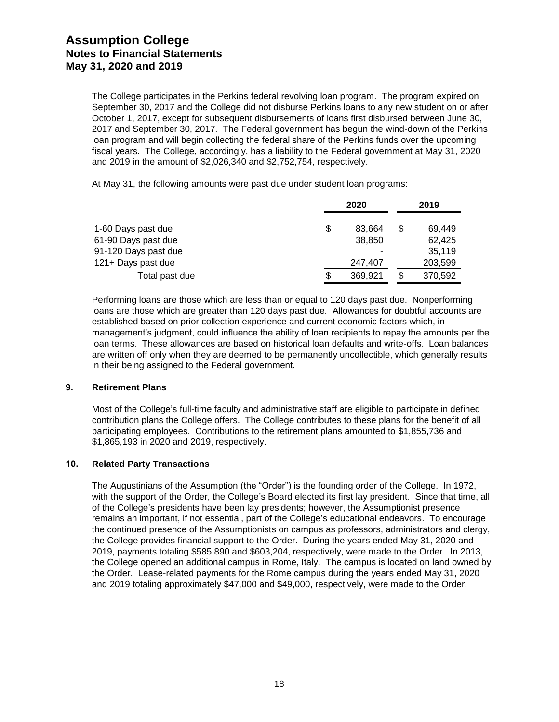The College participates in the Perkins federal revolving loan program. The program expired on September 30, 2017 and the College did not disburse Perkins loans to any new student on or after October 1, 2017, except for subsequent disbursements of loans first disbursed between June 30, 2017 and September 30, 2017. The Federal government has begun the wind-down of the Perkins loan program and will begin collecting the federal share of the Perkins funds over the upcoming fiscal years. The College, accordingly, has a liability to the Federal government at May 31, 2020 and 2019 in the amount of \$2,026,340 and \$2,752,754, respectively.

At May 31, the following amounts were past due under student loan programs:

|                      | 2020         | 2019          |
|----------------------|--------------|---------------|
| 1-60 Days past due   | \$<br>83.664 | \$<br>69,449  |
| 61-90 Days past due  | 38,850       | 62,425        |
| 91-120 Days past due |              | 35,119        |
| 121+ Days past due   | 247.407      | 203,599       |
| Total past due       | 369,921      | \$<br>370,592 |

Performing loans are those which are less than or equal to 120 days past due. Nonperforming loans are those which are greater than 120 days past due. Allowances for doubtful accounts are established based on prior collection experience and current economic factors which, in management's judgment, could influence the ability of loan recipients to repay the amounts per the loan terms. These allowances are based on historical loan defaults and write-offs. Loan balances are written off only when they are deemed to be permanently uncollectible, which generally results in their being assigned to the Federal government.

#### **9. Retirement Plans**

Most of the College's full-time faculty and administrative staff are eligible to participate in defined contribution plans the College offers. The College contributes to these plans for the benefit of all participating employees. Contributions to the retirement plans amounted to \$1,855,736 and \$1,865,193 in 2020 and 2019, respectively.

## **10. Related Party Transactions**

The Augustinians of the Assumption (the "Order") is the founding order of the College. In 1972, with the support of the Order, the College's Board elected its first lay president. Since that time, all of the College's presidents have been lay presidents; however, the Assumptionist presence remains an important, if not essential, part of the College's educational endeavors. To encourage the continued presence of the Assumptionists on campus as professors, administrators and clergy, the College provides financial support to the Order. During the years ended May 31, 2020 and 2019, payments totaling \$585,890 and \$603,204, respectively, were made to the Order. In 2013, the College opened an additional campus in Rome, Italy. The campus is located on land owned by the Order. Lease-related payments for the Rome campus during the years ended May 31, 2020 and 2019 totaling approximately \$47,000 and \$49,000, respectively, were made to the Order.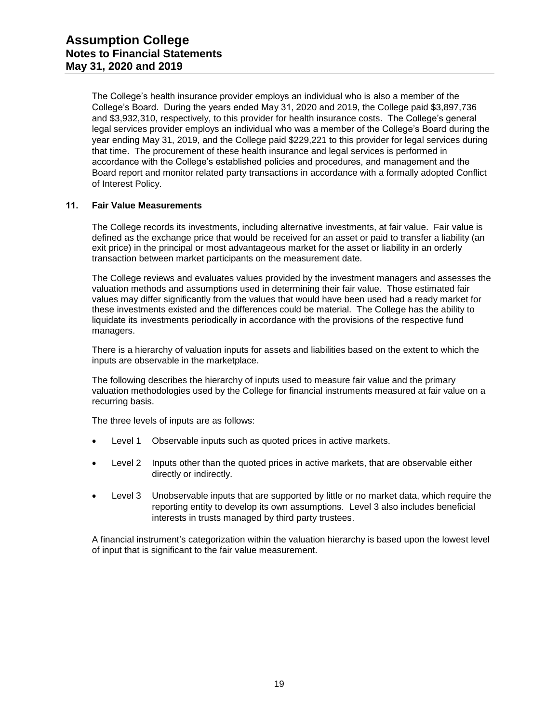The College's health insurance provider employs an individual who is also a member of the College's Board. During the years ended May 31, 2020 and 2019, the College paid \$3,897,736 and \$3,932,310, respectively, to this provider for health insurance costs. The College's general legal services provider employs an individual who was a member of the College's Board during the year ending May 31, 2019, and the College paid \$229,221 to this provider for legal services during that time. The procurement of these health insurance and legal services is performed in accordance with the College's established policies and procedures, and management and the Board report and monitor related party transactions in accordance with a formally adopted Conflict of Interest Policy.

### **11. Fair Value Measurements**

The College records its investments, including alternative investments, at fair value. Fair value is defined as the exchange price that would be received for an asset or paid to transfer a liability (an exit price) in the principal or most advantageous market for the asset or liability in an orderly transaction between market participants on the measurement date.

The College reviews and evaluates values provided by the investment managers and assesses the valuation methods and assumptions used in determining their fair value. Those estimated fair values may differ significantly from the values that would have been used had a ready market for these investments existed and the differences could be material. The College has the ability to liquidate its investments periodically in accordance with the provisions of the respective fund managers.

There is a hierarchy of valuation inputs for assets and liabilities based on the extent to which the inputs are observable in the marketplace.

The following describes the hierarchy of inputs used to measure fair value and the primary valuation methodologies used by the College for financial instruments measured at fair value on a recurring basis.

The three levels of inputs are as follows:

- Level 1 Observable inputs such as quoted prices in active markets.
- Level 2 Inputs other than the quoted prices in active markets, that are observable either directly or indirectly.
- Level 3 Unobservable inputs that are supported by little or no market data, which require the reporting entity to develop its own assumptions. Level 3 also includes beneficial interests in trusts managed by third party trustees.

A financial instrument's categorization within the valuation hierarchy is based upon the lowest level of input that is significant to the fair value measurement.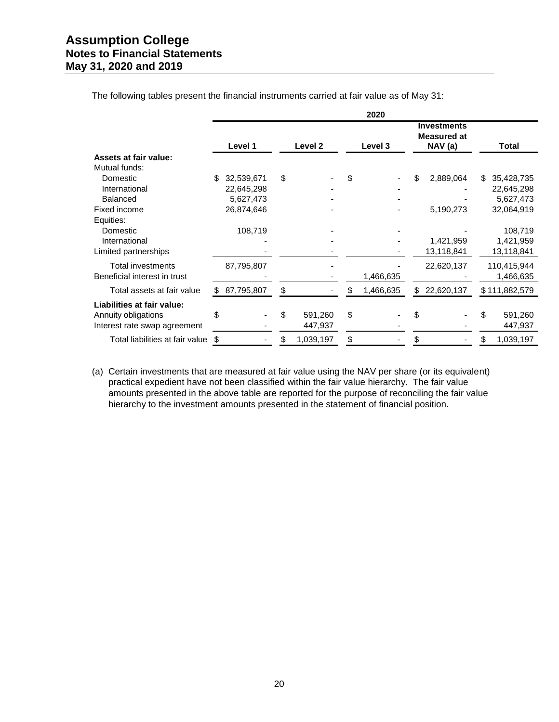|                                 |     |            |    |           | 2020      |                                                     |     |               |
|---------------------------------|-----|------------|----|-----------|-----------|-----------------------------------------------------|-----|---------------|
|                                 |     | Level 1    |    | Level 2   | Level 3   | <b>Investments</b><br><b>Measured at</b><br>NAV (a) |     | Total         |
| Assets at fair value:           |     |            |    |           |           |                                                     |     |               |
| Mutual funds:                   |     |            |    |           |           |                                                     |     |               |
| Domestic                        | \$  | 32,539,671 | \$ |           | \$        | \$<br>2,889,064                                     | \$. | 35,428,735    |
| International                   |     | 22,645,298 |    |           |           |                                                     |     | 22,645,298    |
| Balanced                        |     | 5,627,473  |    |           |           |                                                     |     | 5,627,473     |
| Fixed income                    |     | 26,874,646 |    |           |           | 5,190,273                                           |     | 32,064,919    |
| Equities:                       |     |            |    |           |           |                                                     |     |               |
| Domestic                        |     | 108,719    |    |           |           |                                                     |     | 108,719       |
| International                   |     |            |    |           |           | 1,421,959                                           |     | 1,421,959     |
| Limited partnerships            |     |            |    |           |           | 13,118,841                                          |     | 13,118,841    |
| Total investments               |     | 87,795,807 |    |           |           | 22,620,137                                          |     | 110,415,944   |
| Beneficial interest in trust    |     |            |    |           | 1,466,635 |                                                     |     | 1,466,635     |
| Total assets at fair value      | \$. | 87,795,807 | \$ |           | 1,466,635 | \$<br>22,620,137                                    |     | \$111,882,579 |
| Liabilities at fair value:      |     |            |    |           |           |                                                     |     |               |
| Annuity obligations             | \$  |            | S  | 591,260   | \$        | \$                                                  |     | 591,260       |
| Interest rate swap agreement    |     |            |    | 447,937   |           |                                                     |     | 447,937       |
| Total liabilities at fair value | \$  |            | \$ | 1,039,197 | \$        | \$                                                  | S   | 1,039,197     |

The following tables present the financial instruments carried at fair value as of May 31:

(a) Certain investments that are measured at fair value using the NAV per share (or its equivalent) practical expedient have not been classified within the fair value hierarchy. The fair value amounts presented in the above table are reported for the purpose of reconciling the fair value hierarchy to the investment amounts presented in the statement of financial position.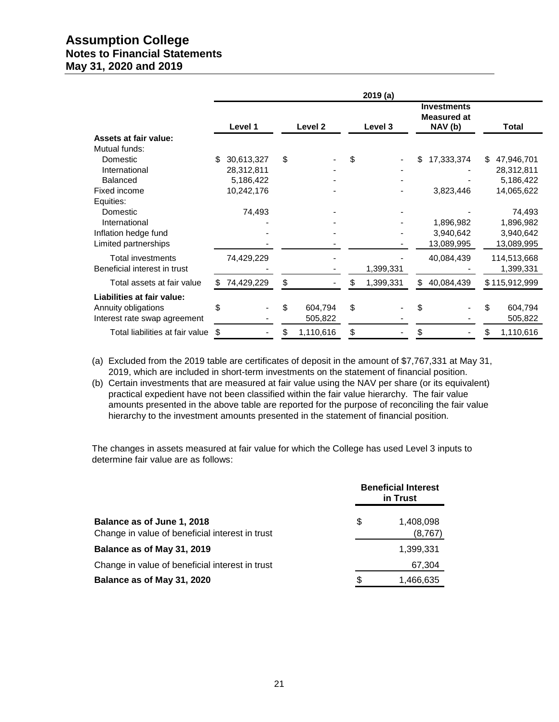# **Assumption College Notes to Financial Statements May 31, 2020 and 2019**

|                                 |    |            |    |           | 2019(a)         |                                                     |     |               |
|---------------------------------|----|------------|----|-----------|-----------------|-----------------------------------------------------|-----|---------------|
|                                 |    | Level 1    |    | Level 2   | Level 3         | <b>Investments</b><br><b>Measured at</b><br>NAV (b) |     | Total         |
| Assets at fair value:           |    |            |    |           |                 |                                                     |     |               |
| Mutual funds:                   |    |            |    |           |                 |                                                     |     |               |
| Domestic                        | \$ | 30,613,327 | \$ |           | \$              | \$<br>17,333,374                                    | \$. | 47,946,701    |
| International                   |    | 28,312,811 |    |           |                 |                                                     |     | 28,312,811    |
| <b>Balanced</b>                 |    | 5,186,422  |    |           |                 |                                                     |     | 5,186,422     |
| Fixed income                    |    | 10,242,176 |    |           |                 | 3,823,446                                           |     | 14,065,622    |
| Equities:                       |    |            |    |           |                 |                                                     |     |               |
| Domestic                        |    | 74,493     |    |           |                 |                                                     |     | 74,493        |
| International                   |    |            |    |           |                 | 1,896,982                                           |     | 1,896,982     |
| Inflation hedge fund            |    |            |    |           |                 | 3,940,642                                           |     | 3,940,642     |
| Limited partnerships            |    |            |    |           |                 | 13,089,995                                          |     | 13,089,995    |
| Total investments               |    | 74,429,229 |    |           |                 | 40,084,439                                          |     | 114,513,668   |
| Beneficial interest in trust    |    |            |    |           | 1,399,331       |                                                     |     | 1,399,331     |
| Total assets at fair value      | S. | 74,429,229 | \$ |           | \$<br>1,399,331 | \$<br>40,084,439                                    |     | \$115,912,999 |
| Liabilities at fair value:      |    |            |    |           |                 |                                                     |     |               |
| Annuity obligations             | \$ |            | S  | 604,794   | \$              | \$                                                  | S   | 604,794       |
| Interest rate swap agreement    |    |            |    | 505,822   |                 |                                                     |     | 505,822       |
| Total liabilities at fair value | \$ |            | \$ | 1,110,616 | \$              | \$                                                  |     | 1,110,616     |

- (a) Excluded from the 2019 table are certificates of deposit in the amount of \$7,767,331 at May 31, 2019, which are included in short-term investments on the statement of financial position.
- (b) Certain investments that are measured at fair value using the NAV per share (or its equivalent) practical expedient have not been classified within the fair value hierarchy. The fair value amounts presented in the above table are reported for the purpose of reconciling the fair value hierarchy to the investment amounts presented in the statement of financial position.

The changes in assets measured at fair value for which the College has used Level 3 inputs to determine fair value are as follows:

|                                                                               | <b>Beneficial Interest</b><br>in Trust |                      |  |  |  |
|-------------------------------------------------------------------------------|----------------------------------------|----------------------|--|--|--|
| Balance as of June 1, 2018<br>Change in value of beneficial interest in trust | S                                      | 1,408,098<br>(8,767) |  |  |  |
| Balance as of May 31, 2019                                                    |                                        | 1,399,331            |  |  |  |
| Change in value of beneficial interest in trust                               |                                        | 67,304               |  |  |  |
| Balance as of May 31, 2020                                                    | \$                                     | 1,466,635            |  |  |  |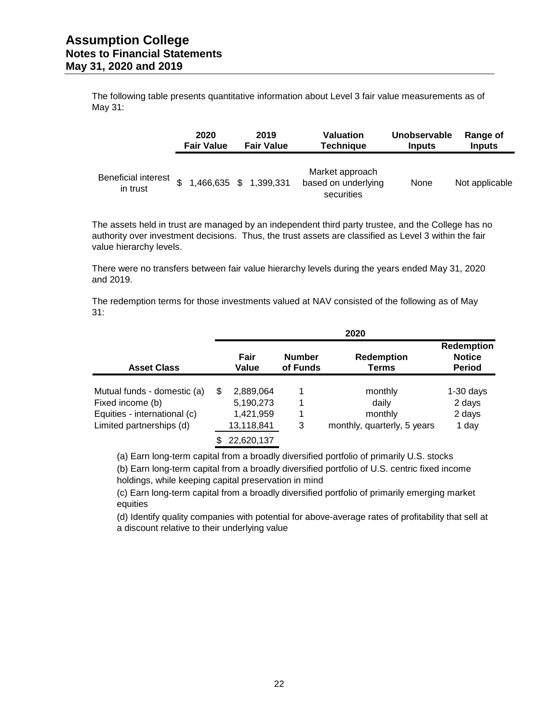The following table presents quantitative information about Level 3 fair value measurements as of May 31:

|                                        | 2020              | 2019                   | Valuation                                            | Unobservable  | Range of       |
|----------------------------------------|-------------------|------------------------|------------------------------------------------------|---------------|----------------|
|                                        | <b>Fair Value</b> | <b>Fair Value</b>      | <b>Technique</b>                                     | <b>Inputs</b> | <b>Inputs</b>  |
| <b>Beneficial interest</b><br>in trust |                   | 1,466,635 \$ 1,399,331 | Market approach<br>based on underlying<br>securities | None          | Not applicable |

The assets held in trust are managed by an independent third party trustee, and the College has no authority over investment decisions. Thus, the trust assets are classified as Level 3 within the fair value hierarchy levels.

There were no transfers between fair value hierarchy levels during the years ended May 31, 2020 and 2019.

The redemption terms for those investments valued at NAV consisted of the following as of May 31:

|                              |   | 2020          |                           |                             |                                                     |  |  |  |  |  |
|------------------------------|---|---------------|---------------------------|-----------------------------|-----------------------------------------------------|--|--|--|--|--|
| <b>Asset Class</b>           |   | Fair<br>Value | <b>Number</b><br>of Funds | <b>Redemption</b><br>Terms  | <b>Redemption</b><br><b>Notice</b><br><b>Period</b> |  |  |  |  |  |
| Mutual funds - domestic (a)  | S | 2,889,064     | 1                         | monthly                     | 1-30 days                                           |  |  |  |  |  |
| Fixed income (b)             |   | 5,190,273     | 1                         | daily                       | 2 days                                              |  |  |  |  |  |
| Equities - international (c) |   | 1,421,959     |                           | monthly                     | 2 days                                              |  |  |  |  |  |
| Limited partnerships (d)     |   | 13,118,841    | 3                         | monthly, quarterly, 5 years | 1 day                                               |  |  |  |  |  |
|                              |   | 22,620,137    |                           |                             |                                                     |  |  |  |  |  |

(a) Earn long-term capital from a broadly diversified portfolio of primarily U.S. stocks

(b) Earn long-term capital from a broadly diversified portfolio of U.S. centric fixed income holdings, while keeping capital preservation in mind

(c) Earn long-term capital from a broadly diversified portfolio of primarily emerging market equities

(d) Identify quality companies with potential for above-average rates of profitability that sell at a discount relative to their underlying value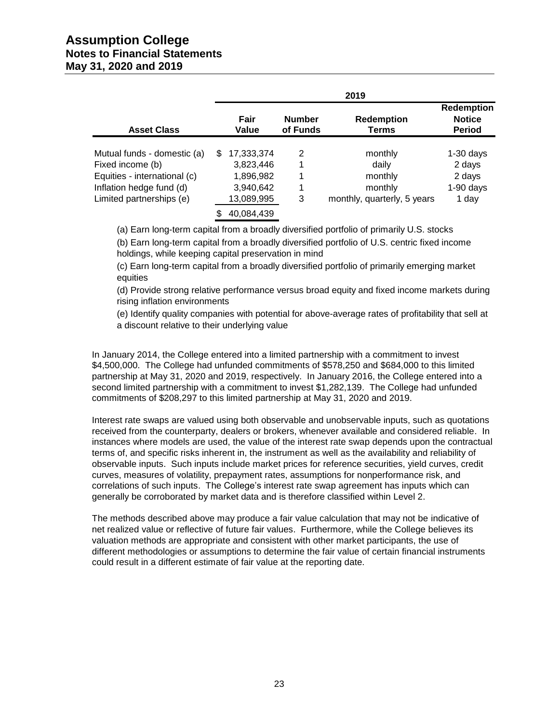# **Assumption College Notes to Financial Statements May 31, 2020 and 2019**

|                              | 2019 |               |                           |                                   |                                              |  |  |  |
|------------------------------|------|---------------|---------------------------|-----------------------------------|----------------------------------------------|--|--|--|
| <b>Asset Class</b>           |      | Fair<br>Value | <b>Number</b><br>of Funds | <b>Redemption</b><br><b>Terms</b> | Redemption<br><b>Notice</b><br><b>Period</b> |  |  |  |
| Mutual funds - domestic (a)  | S    | 17,333,374    | 2                         | monthly                           | $1-30$ days                                  |  |  |  |
| Fixed income (b)             |      | 3,823,446     | 1                         | daily                             | 2 days                                       |  |  |  |
| Equities - international (c) |      | 1,896,982     | 1                         | monthly                           | 2 days                                       |  |  |  |
| Inflation hedge fund (d)     |      | 3,940,642     | 1                         | monthly                           | $1-90$ days                                  |  |  |  |
| Limited partnerships (e)     |      | 13,089,995    | 3                         | monthly, quarterly, 5 years       | 1 day                                        |  |  |  |
|                              |      | 40,084,439    |                           |                                   |                                              |  |  |  |

(a) Earn long-term capital from a broadly diversified portfolio of primarily U.S. stocks

(b) Earn long-term capital from a broadly diversified portfolio of U.S. centric fixed income holdings, while keeping capital preservation in mind

(c) Earn long-term capital from a broadly diversified portfolio of primarily emerging market equities

(d) Provide strong relative performance versus broad equity and fixed income markets during rising inflation environments

(e) Identify quality companies with potential for above-average rates of profitability that sell at a discount relative to their underlying value

In January 2014, the College entered into a limited partnership with a commitment to invest \$4,500,000. The College had unfunded commitments of \$578,250 and \$684,000 to this limited partnership at May 31, 2020 and 2019, respectively. In January 2016, the College entered into a second limited partnership with a commitment to invest \$1,282,139. The College had unfunded commitments of \$208,297 to this limited partnership at May 31, 2020 and 2019.

Interest rate swaps are valued using both observable and unobservable inputs, such as quotations received from the counterparty, dealers or brokers, whenever available and considered reliable. In instances where models are used, the value of the interest rate swap depends upon the contractual terms of, and specific risks inherent in, the instrument as well as the availability and reliability of observable inputs. Such inputs include market prices for reference securities, yield curves, credit curves, measures of volatility, prepayment rates, assumptions for nonperformance risk, and correlations of such inputs. The College's interest rate swap agreement has inputs which can generally be corroborated by market data and is therefore classified within Level 2.

The methods described above may produce a fair value calculation that may not be indicative of net realized value or reflective of future fair values. Furthermore, while the College believes its valuation methods are appropriate and consistent with other market participants, the use of different methodologies or assumptions to determine the fair value of certain financial instruments could result in a different estimate of fair value at the reporting date.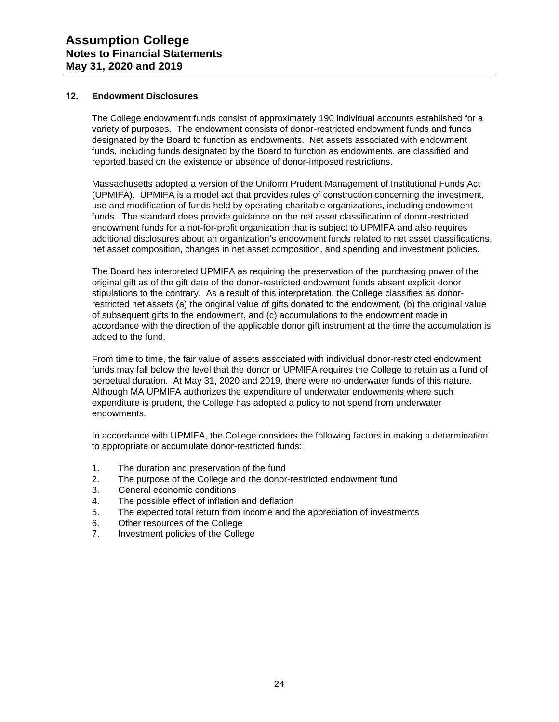#### **12. Endowment Disclosures**

The College endowment funds consist of approximately 190 individual accounts established for a variety of purposes. The endowment consists of donor-restricted endowment funds and funds designated by the Board to function as endowments. Net assets associated with endowment funds, including funds designated by the Board to function as endowments, are classified and reported based on the existence or absence of donor-imposed restrictions.

Massachusetts adopted a version of the Uniform Prudent Management of Institutional Funds Act (UPMIFA). UPMIFA is a model act that provides rules of construction concerning the investment, use and modification of funds held by operating charitable organizations, including endowment funds. The standard does provide guidance on the net asset classification of donor-restricted endowment funds for a not-for-profit organization that is subject to UPMIFA and also requires additional disclosures about an organization's endowment funds related to net asset classifications, net asset composition, changes in net asset composition, and spending and investment policies.

The Board has interpreted UPMIFA as requiring the preservation of the purchasing power of the original gift as of the gift date of the donor-restricted endowment funds absent explicit donor stipulations to the contrary. As a result of this interpretation, the College classifies as donorrestricted net assets (a) the original value of gifts donated to the endowment, (b) the original value of subsequent gifts to the endowment, and (c) accumulations to the endowment made in accordance with the direction of the applicable donor gift instrument at the time the accumulation is added to the fund.

From time to time, the fair value of assets associated with individual donor-restricted endowment funds may fall below the level that the donor or UPMIFA requires the College to retain as a fund of perpetual duration. At May 31, 2020 and 2019, there were no underwater funds of this nature. Although MA UPMIFA authorizes the expenditure of underwater endowments where such expenditure is prudent, the College has adopted a policy to not spend from underwater endowments.

In accordance with UPMIFA, the College considers the following factors in making a determination to appropriate or accumulate donor-restricted funds:

- 1. The duration and preservation of the fund
- 2. The purpose of the College and the donor-restricted endowment fund
- 3. General economic conditions
- 4. The possible effect of inflation and deflation
- 5. The expected total return from income and the appreciation of investments
- 6. Other resources of the College
- 7. Investment policies of the College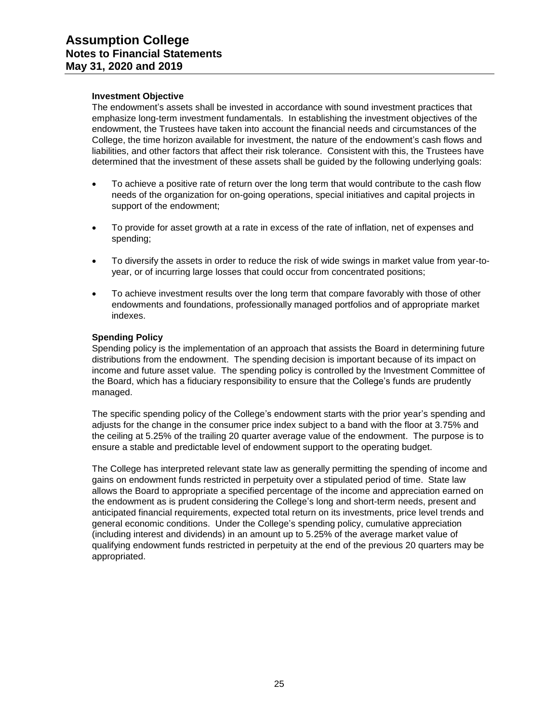#### **Investment Objective**

The endowment's assets shall be invested in accordance with sound investment practices that emphasize long-term investment fundamentals. In establishing the investment objectives of the endowment, the Trustees have taken into account the financial needs and circumstances of the College, the time horizon available for investment, the nature of the endowment's cash flows and liabilities, and other factors that affect their risk tolerance. Consistent with this, the Trustees have determined that the investment of these assets shall be guided by the following underlying goals:

- To achieve a positive rate of return over the long term that would contribute to the cash flow needs of the organization for on-going operations, special initiatives and capital projects in support of the endowment;
- To provide for asset growth at a rate in excess of the rate of inflation, net of expenses and spending;
- To diversify the assets in order to reduce the risk of wide swings in market value from year-toyear, or of incurring large losses that could occur from concentrated positions;
- To achieve investment results over the long term that compare favorably with those of other endowments and foundations, professionally managed portfolios and of appropriate market indexes.

#### **Spending Policy**

Spending policy is the implementation of an approach that assists the Board in determining future distributions from the endowment. The spending decision is important because of its impact on income and future asset value. The spending policy is controlled by the Investment Committee of the Board, which has a fiduciary responsibility to ensure that the College's funds are prudently managed.

The specific spending policy of the College's endowment starts with the prior year's spending and adjusts for the change in the consumer price index subject to a band with the floor at 3.75% and the ceiling at 5.25% of the trailing 20 quarter average value of the endowment. The purpose is to ensure a stable and predictable level of endowment support to the operating budget.

The College has interpreted relevant state law as generally permitting the spending of income and gains on endowment funds restricted in perpetuity over a stipulated period of time. State law allows the Board to appropriate a specified percentage of the income and appreciation earned on the endowment as is prudent considering the College's long and short-term needs, present and anticipated financial requirements, expected total return on its investments, price level trends and general economic conditions. Under the College's spending policy, cumulative appreciation (including interest and dividends) in an amount up to 5.25% of the average market value of qualifying endowment funds restricted in perpetuity at the end of the previous 20 quarters may be appropriated.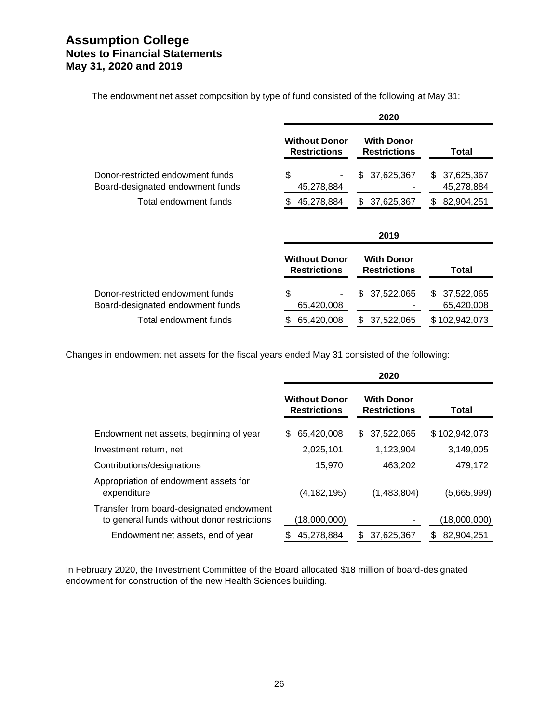|                                                                      |                                             | 2020                                     |                                 |
|----------------------------------------------------------------------|---------------------------------------------|------------------------------------------|---------------------------------|
|                                                                      | <b>Without Donor</b><br><b>Restrictions</b> | <b>With Donor</b><br><b>Restrictions</b> | Total                           |
| Donor-restricted endowment funds<br>Board-designated endowment funds | \$<br>45,278,884                            | 37,625,367<br>S                          | 37,625,367<br>\$.<br>45,278,884 |
| Total endowment funds                                                | 45,278,884<br>S                             | 37,625,367<br>S                          | 82,904,251<br>S                 |
|                                                                      |                                             | 2019                                     |                                 |
|                                                                      | <b>Without Donor</b>                        | <b>With Donor</b>                        |                                 |
|                                                                      | <b>Restrictions</b>                         | <b>Restrictions</b>                      | Total                           |
| Donor-restricted endowment funds<br>Board-designated endowment funds | \$<br>65,420,008                            | 37,522,065<br>\$                         | 37,522,065<br>\$.<br>65,420,008 |

The endowment net asset composition by type of fund consisted of the following at May 31:

Changes in endowment net assets for the fiscal years ended May 31 consisted of the following:

|                                                                                         | 2020                                        |                                          |                 |  |  |
|-----------------------------------------------------------------------------------------|---------------------------------------------|------------------------------------------|-----------------|--|--|
|                                                                                         | <b>Without Donor</b><br><b>Restrictions</b> | <b>With Donor</b><br><b>Restrictions</b> | Total           |  |  |
| Endowment net assets, beginning of year                                                 | 65,420,008<br>S                             | 37,522,065<br>S.                         | \$102,942,073   |  |  |
| Investment return, net                                                                  | 2,025,101                                   | 1,123,904                                | 3,149,005       |  |  |
| Contributions/designations                                                              | 15,970                                      | 463,202                                  | 479.172         |  |  |
| Appropriation of endowment assets for<br>expenditure                                    | (4, 182, 195)                               | (1,483,804)                              | (5,665,999)     |  |  |
| Transfer from board-designated endowment<br>to general funds without donor restrictions | (18,000,000)                                |                                          | (18,000,000)    |  |  |
| Endowment net assets, end of year                                                       | 45.278.884                                  | 37.625.367<br>S                          | 82.904.251<br>S |  |  |

In February 2020, the Investment Committee of the Board allocated \$18 million of board-designated endowment for construction of the new Health Sciences building.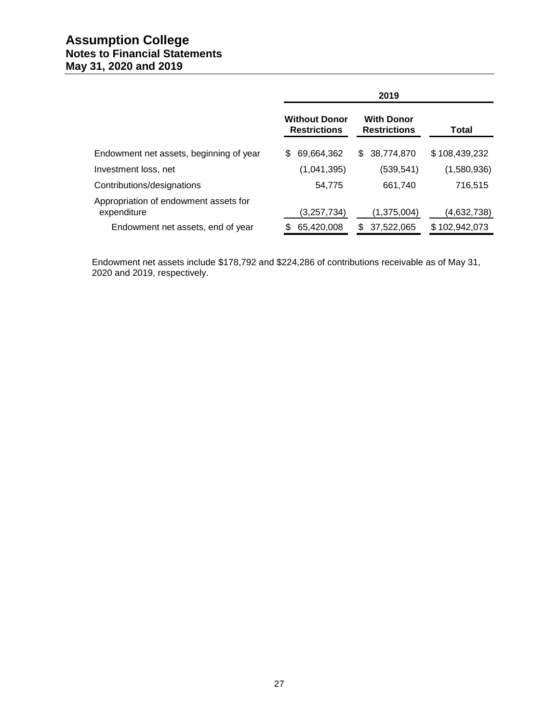# **Assumption College Notes to Financial Statements May 31, 2020 and 2019**

|                                                      | 2019                                        |                                          |               |  |  |
|------------------------------------------------------|---------------------------------------------|------------------------------------------|---------------|--|--|
|                                                      | <b>Without Donor</b><br><b>Restrictions</b> | <b>With Donor</b><br><b>Restrictions</b> | Total         |  |  |
| Endowment net assets, beginning of year              | 69,664,362<br>S.                            | 38,774,870<br>SS.                        | \$108,439,232 |  |  |
| Investment loss, net                                 | (1,041,395)                                 | (539, 541)                               | (1,580,936)   |  |  |
| Contributions/designations                           | 54,775                                      | 661,740                                  | 716.515       |  |  |
| Appropriation of endowment assets for<br>expenditure | (3,257,734)                                 | (1,375,004)                              | (4,632,738)   |  |  |
| Endowment net assets, end of year                    | 65,420,008                                  | 37.522.065<br>S                          | \$102,942,073 |  |  |

Endowment net assets include \$178,792 and \$224,286 of contributions receivable as of May 31, 2020 and 2019, respectively.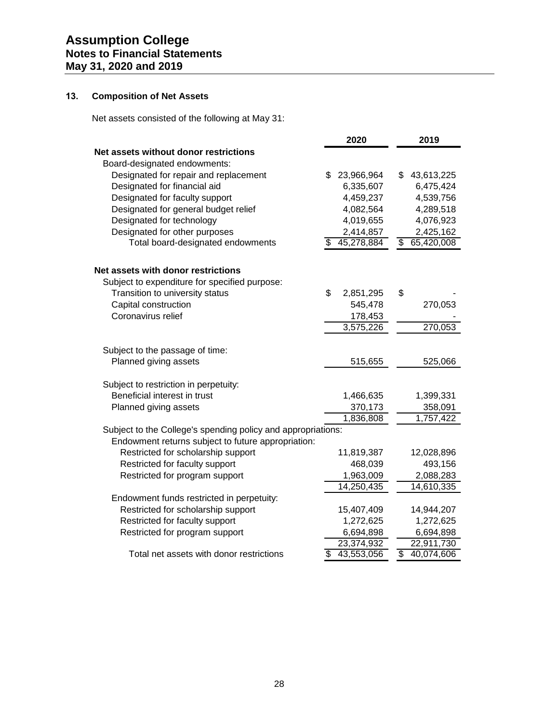# **Assumption College Notes to Financial Statements May 31, 2020 and 2019**

## **13. Composition of Net Assets**

Net assets consisted of the following at May 31:

|                                                              | 2020             | 2019              |
|--------------------------------------------------------------|------------------|-------------------|
| Net assets without donor restrictions                        |                  |                   |
| Board-designated endowments:                                 |                  |                   |
| Designated for repair and replacement                        | \$<br>23,966,964 | 43,613,225<br>\$. |
| Designated for financial aid                                 | 6,335,607        | 6,475,424         |
| Designated for faculty support                               | 4,459,237        | 4,539,756         |
| Designated for general budget relief                         | 4,082,564        | 4,289,518         |
| Designated for technology                                    | 4,019,655        | 4,076,923         |
| Designated for other purposes                                | 2,414,857        | 2,425,162         |
| Total board-designated endowments                            | 45,278,884       | \$<br>65,420,008  |
| Net assets with donor restrictions                           |                  |                   |
| Subject to expenditure for specified purpose:                |                  |                   |
| Transition to university status                              | \$<br>2,851,295  | \$                |
| Capital construction                                         | 545,478          | 270,053           |
| Coronavirus relief                                           | 178,453          |                   |
|                                                              | 3,575,226        | 270,053           |
|                                                              |                  |                   |
| Subject to the passage of time:                              |                  |                   |
| Planned giving assets                                        | 515,655          | 525,066           |
| Subject to restriction in perpetuity:                        |                  |                   |
| Beneficial interest in trust                                 | 1,466,635        | 1,399,331         |
| Planned giving assets                                        | 370,173          | 358,091           |
|                                                              | 1,836,808        | 1,757,422         |
| Subject to the College's spending policy and appropriations: |                  |                   |
| Endowment returns subject to future appropriation:           |                  |                   |
| Restricted for scholarship support                           | 11,819,387       | 12,028,896        |
| Restricted for faculty support                               | 468,039          | 493,156           |
| Restricted for program support                               | 1,963,009        | 2,088,283         |
|                                                              | 14,250,435       | 14,610,335        |
| Endowment funds restricted in perpetuity:                    |                  |                   |
| Restricted for scholarship support                           | 15,407,409       | 14,944,207        |
| Restricted for faculty support                               | 1,272,625        | 1,272,625         |
| Restricted for program support                               | 6,694,898        | 6,694,898         |
|                                                              | 23,374,932       | 22,911,730        |
| Total net assets with donor restrictions                     | \$<br>43,553,056 | \$<br>40,074,606  |
|                                                              |                  |                   |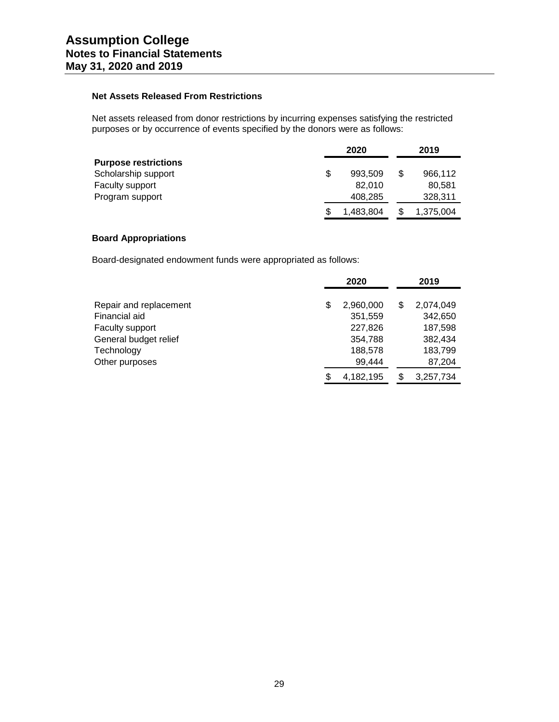## **Net Assets Released From Restrictions**

Net assets released from donor restrictions by incurring expenses satisfying the restricted purposes or by occurrence of events specified by the donors were as follows:

|                             |   | 2020      | 2019          |
|-----------------------------|---|-----------|---------------|
| <b>Purpose restrictions</b> |   |           |               |
| Scholarship support         | S | 993.509   | \$<br>966.112 |
| Faculty support             |   | 82.010    | 80.581        |
| Program support             |   | 408.285   | 328,311       |
|                             |   | 1,483,804 | 1,375,004     |

## **Board Appropriations**

Board-designated endowment funds were appropriated as follows:

|                        | 2020 |           | 2019 |           |
|------------------------|------|-----------|------|-----------|
|                        |      |           |      |           |
| Repair and replacement | \$   | 2,960,000 | \$   | 2,074,049 |
| Financial aid          |      | 351,559   |      | 342,650   |
| Faculty support        |      | 227,826   |      | 187,598   |
| General budget relief  |      | 354,788   |      | 382,434   |
| Technology             |      | 188,578   |      | 183,799   |
| Other purposes         |      | 99,444    |      | 87,204    |
|                        |      | 4,182,195 | S    | 3,257,734 |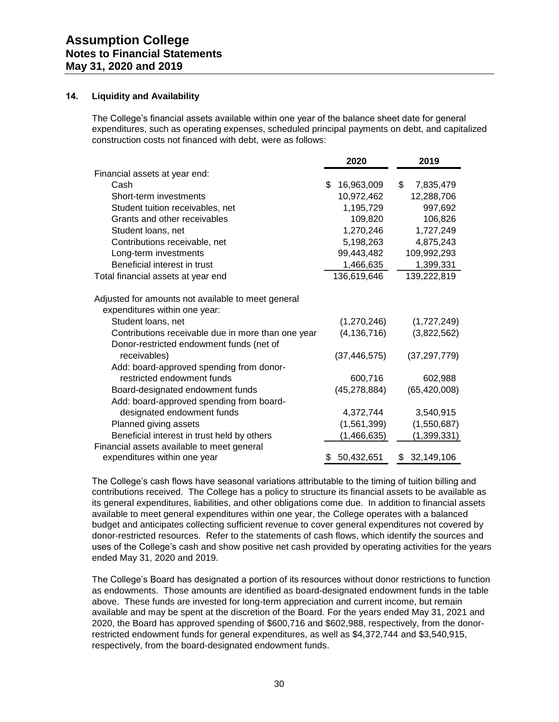#### **14. Liquidity and Availability**

The College's financial assets available within one year of the balance sheet date for general expenditures, such as operating expenses, scheduled principal payments on debt, and capitalized construction costs not financed with debt, were as follows:

|                                                    | 2020              | 2019            |
|----------------------------------------------------|-------------------|-----------------|
| Financial assets at year end:                      |                   |                 |
| Cash                                               | \$.<br>16,963,009 | \$<br>7,835,479 |
| Short-term investments                             | 10,972,462        | 12,288,706      |
| Student tuition receivables, net                   | 1,195,729         | 997,692         |
| Grants and other receivables                       | 109,820           | 106,826         |
| Student loans, net                                 | 1,270,246         | 1,727,249       |
| Contributions receivable, net                      | 5,198,263         | 4,875,243       |
| Long-term investments                              | 99,443,482        | 109,992,293     |
| Beneficial interest in trust                       | 1,466,635         | 1,399,331       |
| Total financial assets at year end                 | 136,619,646       | 139,222,819     |
| Adjusted for amounts not available to meet general |                   |                 |
| expenditures within one year:                      |                   |                 |
| Student Ioans, net                                 | (1,270,246)       | (1,727,249)     |
| Contributions receivable due in more than one year | (4, 136, 716)     | (3,822,562)     |
| Donor-restricted endowment funds (net of           |                   |                 |
| receivables)                                       | (37, 446, 575)    | (37, 297, 779)  |
| Add: board-approved spending from donor-           |                   |                 |
| restricted endowment funds                         | 600,716           | 602,988         |
| Board-designated endowment funds                   | (45, 278, 884)    | (65, 420, 008)  |
| Add: board-approved spending from board-           |                   |                 |
| designated endowment funds                         | 4,372,744         | 3,540,915       |
| Planned giving assets                              | (1,561,399)       | (1,550,687)     |
| Beneficial interest in trust held by others        | (1,466,635)       | (1,399,331)     |
| Financial assets available to meet general         |                   |                 |
| expenditures within one year                       | 50,432,651<br>S   | \$32,149,106    |

The College's cash flows have seasonal variations attributable to the timing of tuition billing and contributions received. The College has a policy to structure its financial assets to be available as its general expenditures, liabilities, and other obligations come due. In addition to financial assets available to meet general expenditures within one year, the College operates with a balanced budget and anticipates collecting sufficient revenue to cover general expenditures not covered by donor-restricted resources. Refer to the statements of cash flows, which identify the sources and uses of the College's cash and show positive net cash provided by operating activities for the years ended May 31, 2020 and 2019.

The College's Board has designated a portion of its resources without donor restrictions to function as endowments. Those amounts are identified as board-designated endowment funds in the table above. These funds are invested for long-term appreciation and current income, but remain available and may be spent at the discretion of the Board. For the years ended May 31, 2021 and 2020, the Board has approved spending of \$600,716 and \$602,988, respectively, from the donorrestricted endowment funds for general expenditures, as well as \$4,372,744 and \$3,540,915, respectively, from the board-designated endowment funds.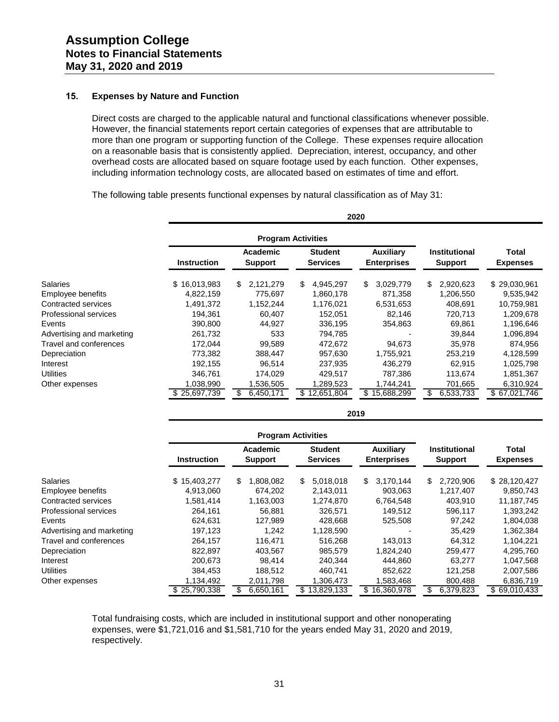#### **15. Expenses by Nature and Function**

Direct costs are charged to the applicable natural and functional classifications whenever possible. However, the financial statements report certain categories of expenses that are attributable to more than one program or supporting function of the College. These expenses require allocation on a reasonable basis that is consistently applied. Depreciation, interest, occupancy, and other overhead costs are allocated based on square footage used by each function. Other expenses, including information technology costs, are allocated based on estimates of time and effort.

The following table presents functional expenses by natural classification as of May 31:

|                           | 2020               |                            |                                   |                                        |                                        |                          |
|---------------------------|--------------------|----------------------------|-----------------------------------|----------------------------------------|----------------------------------------|--------------------------|
|                           |                    | <b>Program Activities</b>  |                                   |                                        |                                        |                          |
|                           | <b>Instruction</b> | Academic<br><b>Support</b> | <b>Student</b><br><b>Services</b> | <b>Auxiliary</b><br><b>Enterprises</b> | <b>Institutional</b><br><b>Support</b> | Total<br><b>Expenses</b> |
| <b>Salaries</b>           | \$16,013,983       | \$<br>2,121,279            | \$<br>4,945,297                   | \$<br>3,029,779                        | \$<br>2,920,623                        | \$29,030,961             |
| Employee benefits         | 4,822,159          | 775,697                    | 1,860,178                         | 871,358                                | 1,206,550                              | 9,535,942                |
| Contracted services       | 1,491,372          | 1,152,244                  | 1,176,021                         | 6,531,653                              | 408.691                                | 10,759,981               |
| Professional services     | 194,361            | 60,407                     | 152,051                           | 82.146                                 | 720,713                                | 1,209,678                |
| Events                    | 390,800            | 44,927                     | 336,195                           | 354,863                                | 69,861                                 | 1,196,646                |
| Advertising and marketing | 261,732            | 533                        | 794,785                           |                                        | 39,844                                 | 1,096,894                |
| Travel and conferences    | 172,044            | 99,589                     | 472,672                           | 94,673                                 | 35,978                                 | 874,956                  |
| Depreciation              | 773,382            | 388,447                    | 957,630                           | 1,755,921                              | 253,219                                | 4,128,599                |
| Interest                  | 192.155            | 96.514                     | 237,935                           | 436.279                                | 62.915                                 | 1,025,798                |
| <b>Utilities</b>          | 346.761            | 174,029                    | 429,517                           | 787,386                                | 113.674                                | 1,851,367                |
| Other expenses            | 1,038,990          | 1,536,505                  | 1,289,523                         | 1,744,241                              | 701,665                                | 6,310,924                |
|                           | \$25,697,739       | \$<br>6,450,171            | \$12,651,804                      | \$15,688,299                           | 6,533,733<br>\$                        | \$67,021,746             |

|                           | <b>Program Activities</b> |                            |                                   |                                        |                                        |                          |
|---------------------------|---------------------------|----------------------------|-----------------------------------|----------------------------------------|----------------------------------------|--------------------------|
|                           | <b>Instruction</b>        | Academic<br><b>Support</b> | <b>Student</b><br><b>Services</b> | <b>Auxiliary</b><br><b>Enterprises</b> | <b>Institutional</b><br><b>Support</b> | Total<br><b>Expenses</b> |
| <b>Salaries</b>           | \$15,403,277              | \$<br>1,808,082            | 5,018,018<br>\$                   | \$<br>3,170,144                        | 2,720,906<br>\$                        | \$28,120,427             |
| Employee benefits         | 4,913,060                 | 674,202                    | 2,143,011                         | 903,063                                | 1,217,407                              | 9,850,743                |
| Contracted services       | 1,581,414                 | 1,163,003                  | 1,274,870                         | 6,764,548                              | 403.910                                | 11,187,745               |
| Professional services     | 264,161                   | 56.881                     | 326,571                           | 149,512                                | 596,117                                | 1,393,242                |
| Events                    | 624,631                   | 127,989                    | 428,668                           | 525,508                                | 97,242                                 | 1,804,038                |
| Advertising and marketing | 197,123                   | 1.242                      | 1,128,590                         |                                        | 35,429                                 | 1,362,384                |
| Travel and conferences    | 264,157                   | 116.471                    | 516,268                           | 143.013                                | 64,312                                 | 1,104,221                |
| Depreciation              | 822,897                   | 403,567                    | 985,579                           | 1,824,240                              | 259,477                                | 4,295,760                |
| Interest                  | 200,673                   | 98.414                     | 240.344                           | 444.860                                | 63.277                                 | 1,047,568                |
| <b>Utilities</b>          | 384.453                   | 188.512                    | 460.741                           | 852,622                                | 121,258                                | 2,007,586                |
| Other expenses            | 1,134,492                 | 2,011,798                  | 1,306,473                         | .583,468                               | 800,488                                | 6,836,719                |
|                           | \$25,790,338              | \$<br>6,650,161            | \$13,829,133                      | \$16,360,978                           | 6,379,823                              | \$69,010,433             |

**2019**

Total fundraising costs, which are included in institutional support and other nonoperating expenses, were \$1,721,016 and \$1,581,710 for the years ended May 31, 2020 and 2019, respectively.